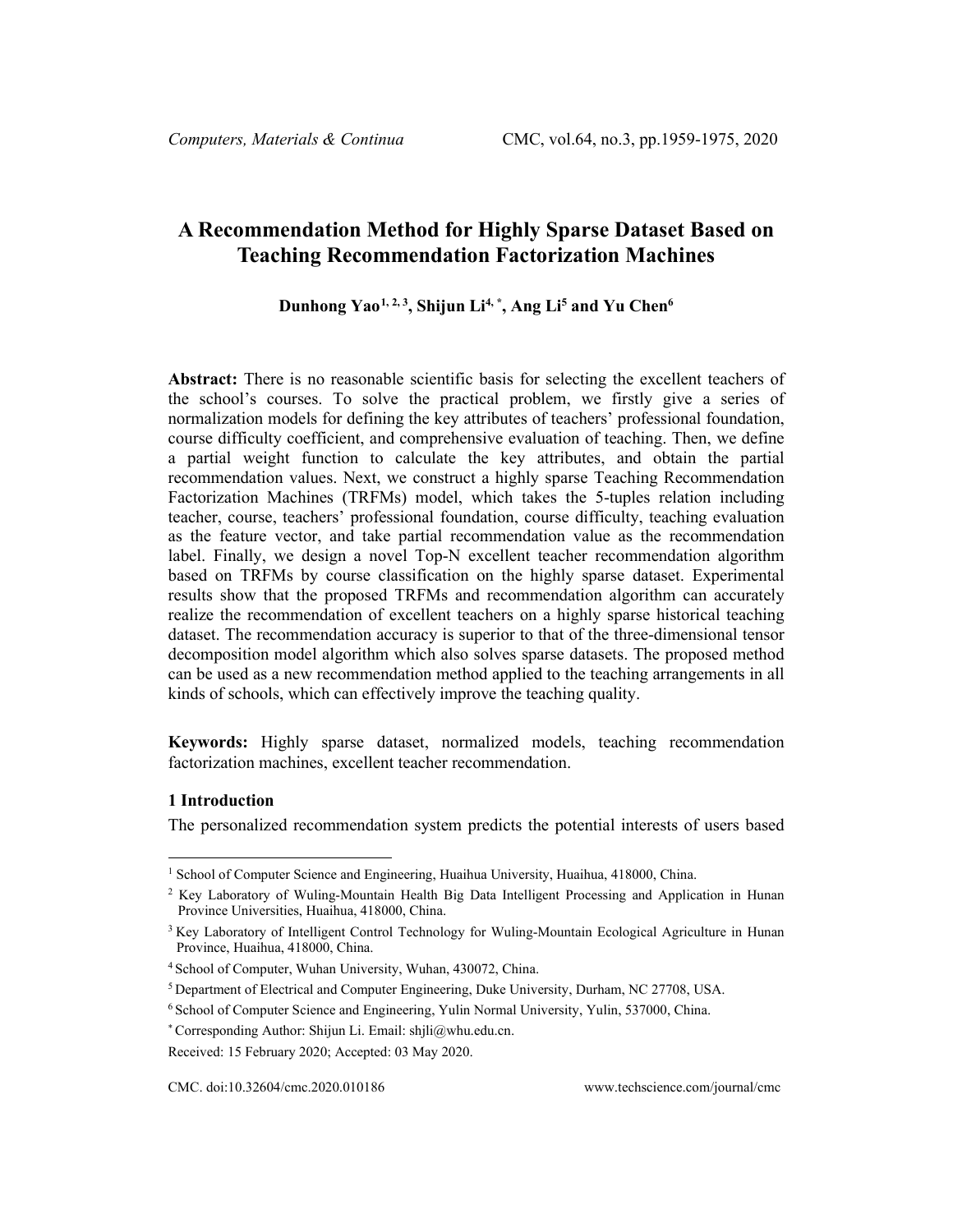# **A Recommendation Method for Highly Sparse Dataset Based on Teaching Recommendation Factorization Machines**

# **Dunhong Yao[1](#page-0-0), 2, <sup>3</sup> , Shijun Li4, \*, Ang Li5 and Yu Chen6**

**Abstract:** There is no reasonable scientific basis for selecting the excellent teachers of the school's courses. To solve the practical problem, we firstly give a series of normalization models for defining the key attributes of teachers' professional foundation, course difficulty coefficient, and comprehensive evaluation of teaching. Then, we define a partial weight function to calculate the key attributes, and obtain the partial recommendation values. Next, we construct a highly sparse Teaching Recommendation Factorization Machines (TRFMs) model, which takes the 5-tuples relation including teacher, course, teachers' professional foundation, course difficulty, teaching evaluation as the feature vector, and take partial recommendation value as the recommendation label. Finally, we design a novel Top-N excellent teacher recommendation algorithm based on TRFMs by course classification on the highly sparse dataset. Experimental results show that the proposed TRFMs and recommendation algorithm can accurately realize the recommendation of excellent teachers on a highly sparse historical teaching dataset. The recommendation accuracy is superior to that of the three-dimensional tensor decomposition model algorithm which also solves sparse datasets. The proposed method can be used as a new recommendation method applied to the teaching arrangements in all kinds of schools, which can effectively improve the teaching quality.

**Keywords:** Highly sparse dataset, normalized models, teaching recommendation factorization machines, excellent teacher recommendation.

#### **1 Introduction**

The personalized recommendation system predicts the potential interests of users based

<span id="page-0-0"></span><sup>&</sup>lt;sup>1</sup> School of Computer Science and Engineering, Huaihua University, Huaihua, 418000, China.

<sup>2</sup> Key Laboratory of Wuling-Mountain Health Big Data Intelligent Processing and Application in Hunan Province Universities, Huaihua, 418000, China.

<sup>&</sup>lt;sup>3</sup> Key Laboratory of Intelligent Control Technology for Wuling-Mountain Ecological Agriculture in Hunan Province, Huaihua, 418000, China.

<sup>4</sup> School of Computer, Wuhan University, Wuhan, 430072, China.

<sup>5</sup> Department of Electrical and Computer Engineering, Duke University, Durham, NC 27708, USA.

<sup>6</sup> School of Computer Science and Engineering, Yulin Normal University, Yulin, 537000, China.

<sup>\*</sup> Corresponding Author: Shijun Li. Email: shjli@whu.edu.cn.

Received: 15 February 2020; Accepted: 03 May 2020.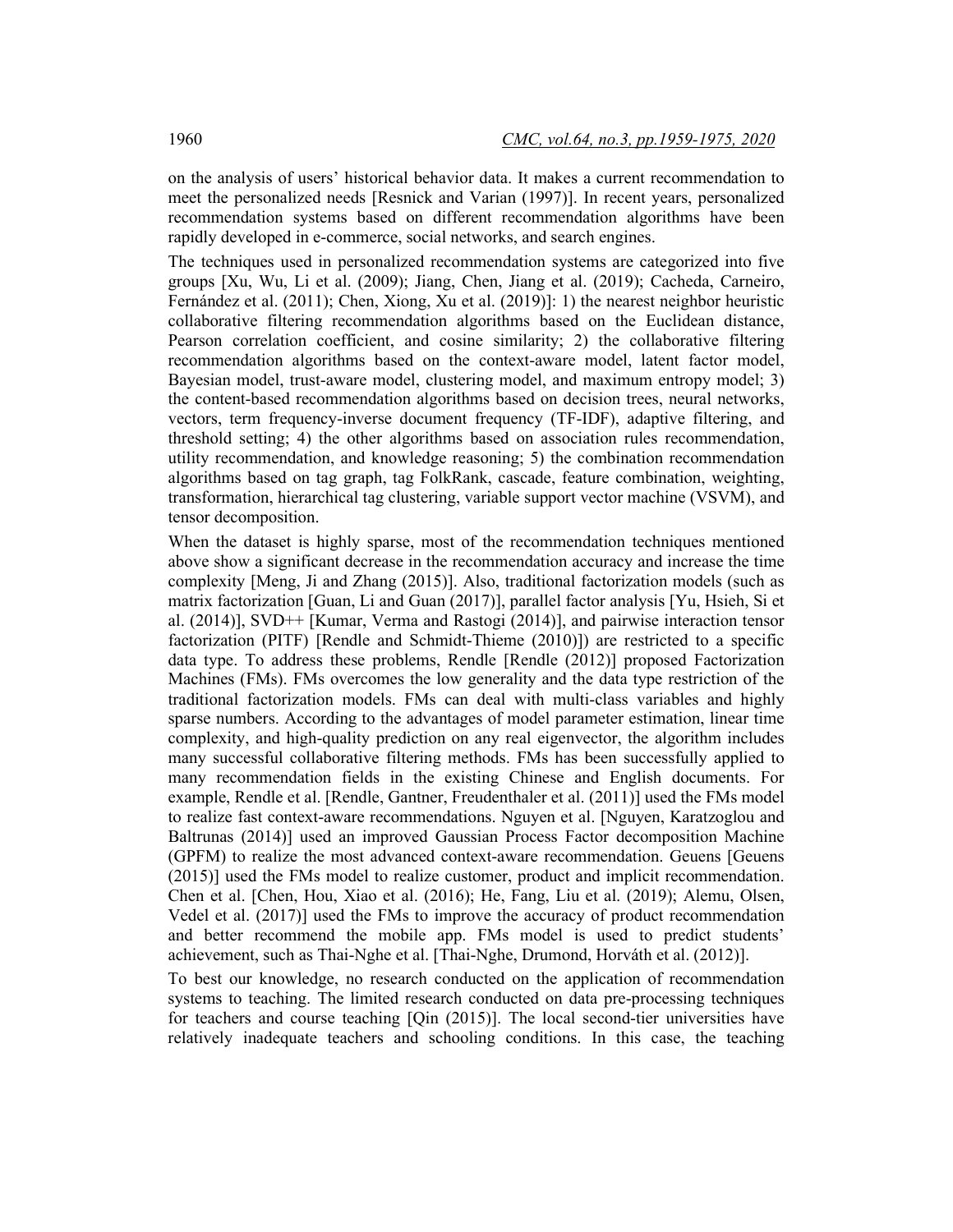on the analysis of users' historical behavior data. It makes a current recommendation to meet the personalized needs [Resnick and Varian (1997)]. In recent years, personalized recommendation systems based on different recommendation algorithms have been rapidly developed in e-commerce, social networks, and search engines.

The techniques used in personalized recommendation systems are categorized into five groups [Xu, Wu, Li et al. (2009); Jiang, Chen, Jiang et al. (2019); Cacheda, Carneiro, Fernández et al. (2011); Chen, Xiong, Xu et al. (2019)]: 1) the nearest neighbor heuristic collaborative filtering recommendation algorithms based on the Euclidean distance, Pearson correlation coefficient, and cosine similarity; 2) the collaborative filtering recommendation algorithms based on the context-aware model, latent factor model, Bayesian model, trust-aware model, clustering model, and maximum entropy model; 3) the content-based recommendation algorithms based on decision trees, neural networks, vectors, term frequency-inverse document frequency (TF-IDF), adaptive filtering, and threshold setting; 4) the other algorithms based on association rules recommendation, utility recommendation, and knowledge reasoning; 5) the combination recommendation algorithms based on tag graph, tag FolkRank, cascade, feature combination, weighting, transformation, hierarchical tag clustering, variable support vector machine (VSVM), and tensor decomposition.

When the dataset is highly sparse, most of the recommendation techniques mentioned above show a significant decrease in the recommendation accuracy and increase the time complexity [Meng, Ji and Zhang (2015)]. Also, traditional factorization models (such as matrix factorization [Guan, Li and Guan (2017)], parallel factor analysis [Yu, Hsieh, Si et al. (2014)], SVD++ [Kumar, Verma and Rastogi (2014)], and pairwise interaction tensor factorization (PITF) [Rendle and Schmidt-Thieme (2010)]) are restricted to a specific data type. To address these problems, Rendle [Rendle (2012)] proposed Factorization Machines (FMs). FMs overcomes the low generality and the data type restriction of the traditional factorization models. FMs can deal with multi-class variables and highly sparse numbers. According to the advantages of model parameter estimation, linear time complexity, and high-quality prediction on any real eigenvector, the algorithm includes many successful collaborative filtering methods. FMs has been successfully applied to many recommendation fields in the existing Chinese and English documents. For example, Rendle et al. [Rendle, Gantner, Freudenthaler et al. (2011)] used the FMs model to realize fast context-aware recommendations. Nguyen et al. [Nguyen, Karatzoglou and Baltrunas (2014)] used an improved Gaussian Process Factor decomposition Machine (GPFM) to realize the most advanced context-aware recommendation. Geuens [Geuens (2015)] used the FMs model to realize customer, product and implicit recommendation. Chen et al. [Chen, Hou, Xiao et al. (2016); He, Fang, Liu et al. (2019); Alemu, Olsen, Vedel et al. (2017)] used the FMs to improve the accuracy of product recommendation and better recommend the mobile app. FMs model is used to predict students' achievement, such as Thai-Nghe et al. [Thai-Nghe, Drumond, Horváth et al. (2012)].

To best our knowledge, no research conducted on the application of recommendation systems to teaching. The limited research conducted on data pre-processing techniques for teachers and course teaching [Qin (2015)]. The local second-tier universities have relatively inadequate teachers and schooling conditions. In this case, the teaching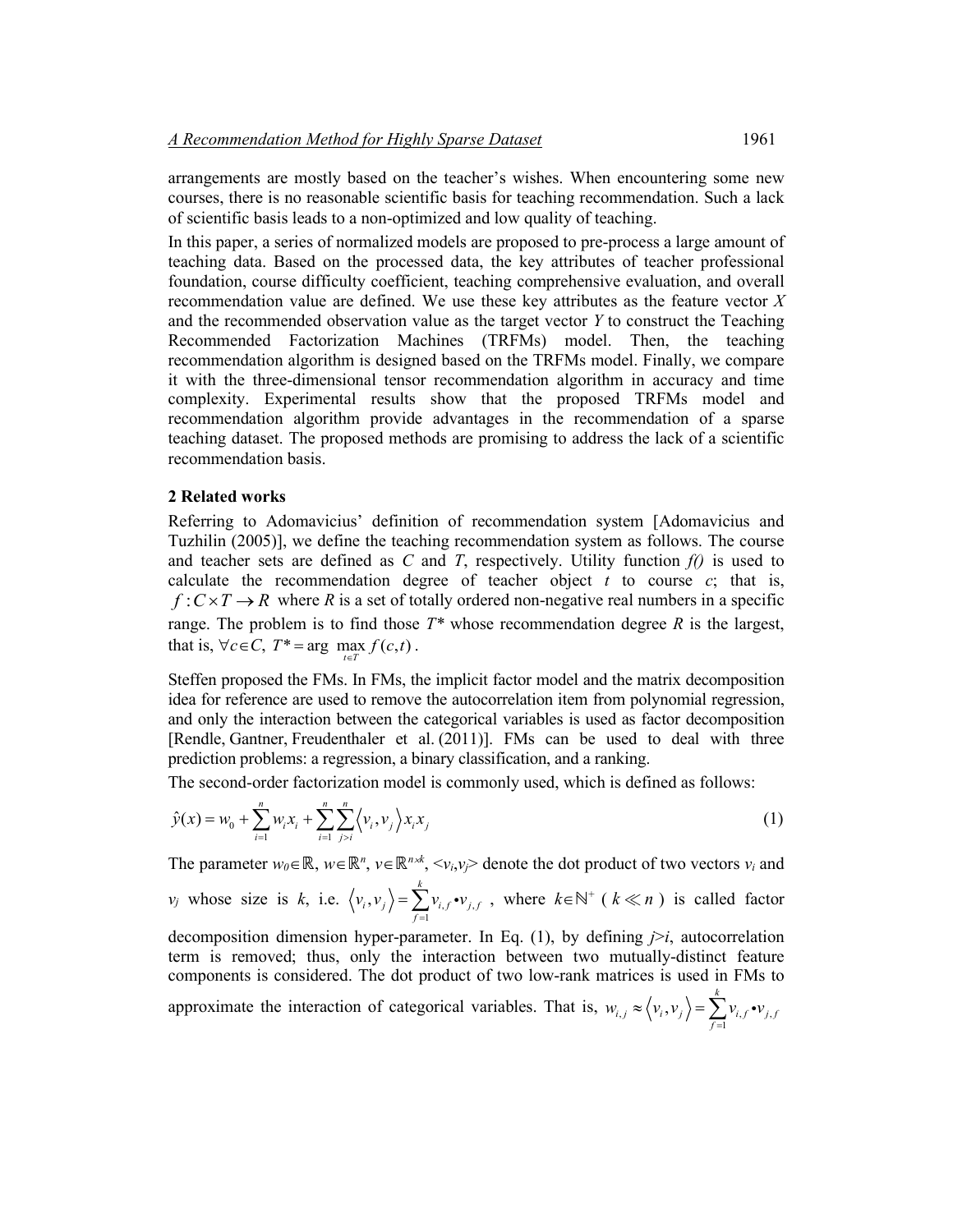arrangements are mostly based on the teacher's wishes. When encountering some new courses, there is no reasonable scientific basis for teaching recommendation. Such a lack of scientific basis leads to a non-optimized and low quality of teaching.

In this paper, a series of normalized models are proposed to pre-process a large amount of teaching data. Based on the processed data, the key attributes of teacher professional foundation, course difficulty coefficient, teaching comprehensive evaluation, and overall recommendation value are defined. We use these key attributes as the feature vector *X* and the recommended observation value as the target vector *Y* to construct the Teaching Recommended Factorization Machines (TRFMs) model. Then, the teaching recommendation algorithm is designed based on the TRFMs model. Finally, we compare it with the three-dimensional tensor recommendation algorithm in accuracy and time complexity. Experimental results show that the proposed TRFMs model and recommendation algorithm provide advantages in the recommendation of a sparse teaching dataset. The proposed methods are promising to address the lack of a scientific recommendation basis.

### **2 Related works**

Referring to Adomavicius' definition of recommendation system [Adomavicius and Tuzhilin (2005)], we define the teaching recommendation system as follows. The course and teacher sets are defined as *C* and *T*, respectively. Utility function  $f(i)$  is used to calculate the recommendation degree of teacher object  $t$  to course  $c$ ; that is,  $f: C \times T \rightarrow R$  where R is a set of totally ordered non-negative real numbers in a specific range. The problem is to find those  $T^*$  whose recommendation degree  $R$  is the largest, that is,  $\forall c \in C$ ,  $T^* = \arg \max_{t \in T} f(c, t)$ .

Steffen proposed the FMs. In FMs, the implicit factor model and the matrix decomposition idea for reference are used to remove the autocorrelation item from polynomial regression, and only the interaction between the categorical variables is used as factor decomposition [Rendle, Gantner, Freudenthaler et al. (2011)]. FMs can be used to deal with three prediction problems: a regression, a binary classification, and a ranking.

The second-order factorization model is commonly used, which is defined as follows:

$$
\hat{y}(x) = w_0 + \sum_{i=1}^{n} w_i x_i + \sum_{i=1}^{n} \sum_{j>i}^{n} \langle v_i, v_j \rangle x_i x_j
$$
\n(1)

The parameter  $w_0 \in \mathbb{R}$ ,  $w \in \mathbb{R}^n$ ,  $v \in \mathbb{R}^n \times K$ ,  $\langle v_i, v_j \rangle$  denote the dot product of two vectors  $v_i$  and  $v_j$  whose size is *k*, i.e.  $\langle v_i, v_j \rangle = \sum_{f=1}^{j} v_{i,f} \cdot v_{j,f}$  $,v_i\rangle = \sum^k$  $i, v_j$  /  $\sum_{f=1}^{j} v_{i,f} v_{j,f}$  $v_i, v_j$  =  $\sum v_{i,f}$  •  $v_j$  $=\sum_{j=1}^{n} v_{i,j} \cdot v_{j,j}$ , where  $k \in \mathbb{N}^+$  ( $k \ll n$ ) is called factor

decomposition dimension hyper-parameter. In Eq. (1), by defining *j*>*i*, autocorrelation term is removed; thus, only the interaction between two mutually-distinct feature components is considered. The dot product of two low-rank matrices is used in FMs to

approximate the interaction of categorical variables. That is,  $w_{i,j} \approx \langle v_i, v_j \rangle = \sum_{f=1}^{J} v_{i,f} \cdot v_{j,f}$  $,v_i)=\sum^k$  $\left\langle i,j \right\rangle \sim \left\langle v_i, v_j \right\rangle = \sum_{f=1}^{N_i} v_{i,f} \cdot v_{j,f}$  $w_{i,j} \approx \langle v_i, v_j \rangle = \sum v_{i,j} \cdot v_j$  $\ll \langle v_i, v_j \rangle = \sum_{f=1} v_{i,f}$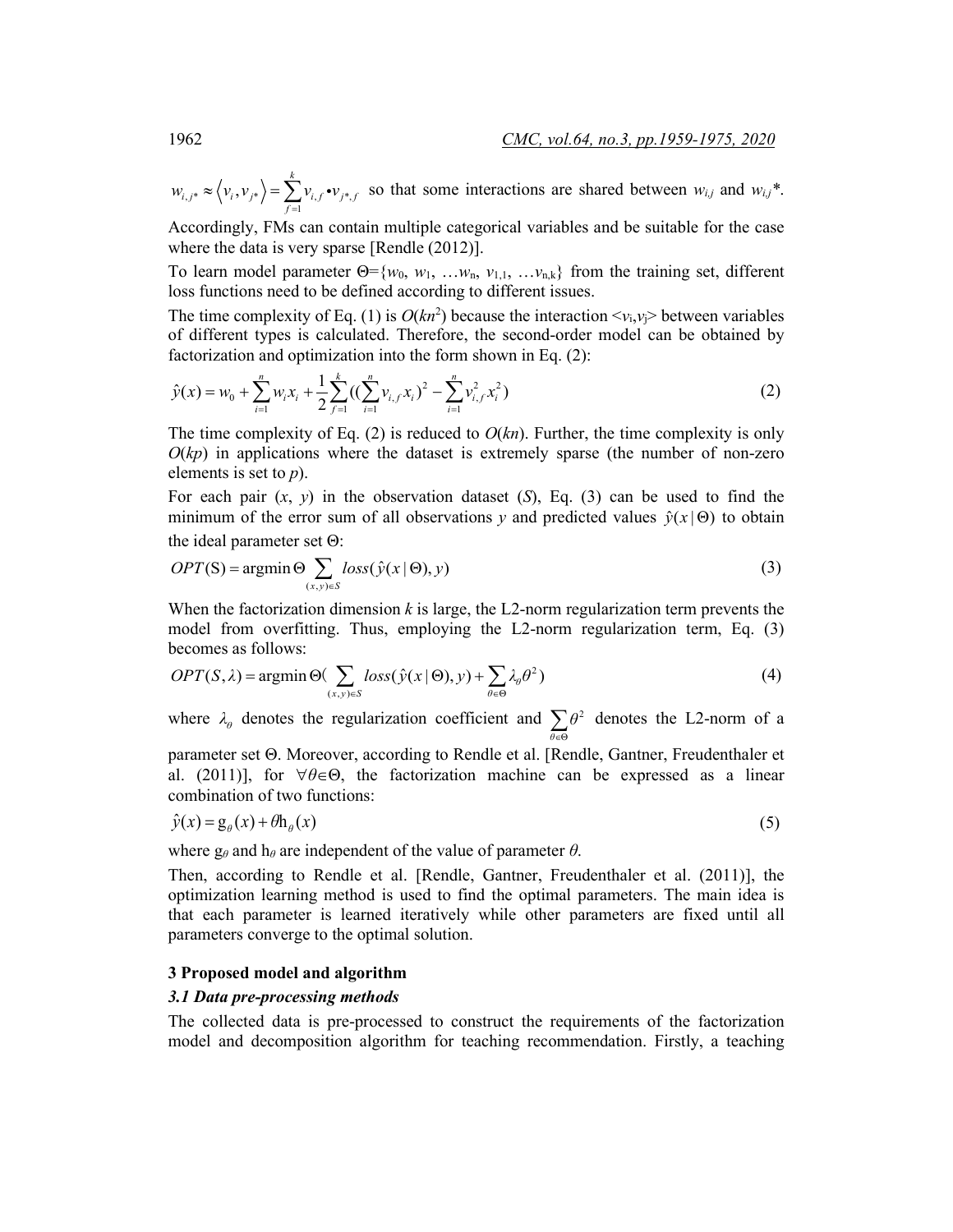$, j^* \sim \sqrt{\frac{v_i v_j^*}{f}} = \sum_{f=1}^{\infty} \frac{v_{i,f} v_{j^*}}{f}$  $,v_{i^*}\rangle = \sum^k$  $i,j^* \sim \langle v_i, v_j^* \rangle = \sum_{f=1}^{i} v_{i,f} \cdot v_{j^*,f}$  $w_{i,i^*} \approx \langle v_i, v_{i^*} \rangle = \sum v_{i,f} \cdot v$  $\approx \langle v_i, v_{i} \rangle = \sum_{f=1} v_{i,f} \cdot v_{i,f}$  so that some interactions are shared between  $w_{i,j}$  and  $w_{i,j}$ <sup>\*</sup>.

Accordingly, FMs can contain multiple categorical variables and be suitable for the case where the data is very sparse [Rendle (2012)].

To learn model parameter  $\Theta = \{w_0, w_1, \ldots, w_n, v_{1,1}, \ldots, v_{n,k}\}$  from the training set, different loss functions need to be defined according to different issues.

The time complexity of Eq. (1) is  $O(kn^2)$  because the interaction  $\langle v_i, v_j \rangle$  between variables of different types is calculated. Therefore, the second-order model can be obtained by factorization and optimization into the form shown in Eq. (2):

$$
\hat{y}(x) = w_0 + \sum_{i=1}^{n} w_i x_i + \frac{1}{2} \sum_{j=1}^{k} \left( \left( \sum_{i=1}^{n} v_{i,j} x_i \right)^2 - \sum_{i=1}^{n} v_{i,j}^2 x_i^2 \right)
$$
\n(2)

The time complexity of Eq. (2) is reduced to  $O(kn)$ . Further, the time complexity is only  $O(kp)$  in applications where the dataset is extremely sparse (the number of non-zero elements is set to *p*).

For each pair  $(x, y)$  in the observation dataset  $(S)$ , Eq.  $(3)$  can be used to find the minimum of the error sum of all observations *y* and predicted values  $\hat{v}(x | \Theta)$  to obtain the ideal parameter set Θ:

$$
OPT(S) = \operatorname{argmin} \Theta \sum_{(x,y)\in S} loss(\hat{y}(x \mid \Theta), y)
$$
\n(3)

When the factorization dimension *k* is large, the L2-norm regularization term prevents the model from overfitting. Thus, employing the L2-norm regularization term, Eq. (3) becomes as follows:

$$
OPT(S, \lambda) = \operatorname{argmin} \Theta(\sum_{(x, y) \in S} loss(\hat{y}(x \mid \Theta), y) + \sum_{\theta \in \Theta} \lambda_{\theta} \theta^2)
$$
(4)

where  $\lambda_{\theta}$  denotes the regularization coefficient and  $\sum_{\theta \in \Theta} \theta^2$ *θ*  $\sum_{\theta \in \Theta} \theta^2$  denotes the L2-norm of a

parameter set Θ. Moreover, according to Rendle et al. [Rendle, Gantner, Freudenthaler et al. (2011)], for ∀*θ*∈Θ, the factorization machine can be expressed as a linear combination of two functions:

$$
\hat{y}(x) = g_{\theta}(x) + \theta h_{\theta}(x) \tag{5}
$$

where  $g_{\theta}$  and  $h_{\theta}$  are independent of the value of parameter  $\theta$ .

Then, according to Rendle et al. [Rendle, Gantner, Freudenthaler et al. (2011)], the optimization learning method is used to find the optimal parameters. The main idea is that each parameter is learned iteratively while other parameters are fixed until all parameters converge to the optimal solution.

#### **3 Proposed model and algorithm**

#### *3.1 Data pre-processing methods*

The collected data is pre-processed to construct the requirements of the factorization model and decomposition algorithm for teaching recommendation. Firstly, a teaching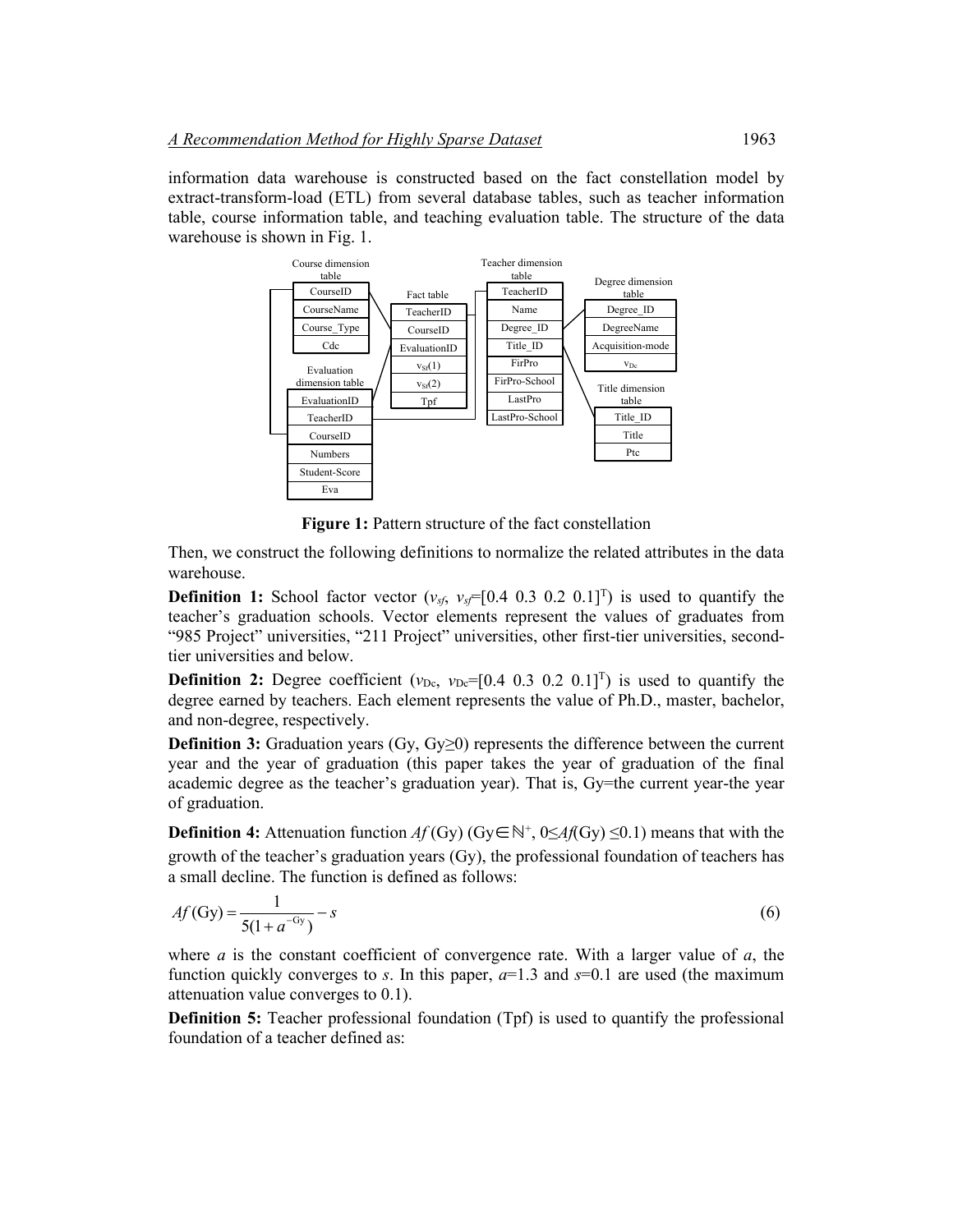information data warehouse is constructed based on the fact constellation model by extract-transform-load (ETL) from several database tables, such as teacher information table, course information table, and teaching evaluation table. The structure of the data warehouse is shown in Fig. 1.



**Figure 1:** Pattern structure of the fact constellation

Then, we construct the following definitions to normalize the related attributes in the data warehouse.

**Definition 1:** School factor vector  $(v_{sf}, v_{sf} = [0.4 \ 0.3 \ 0.2 \ 0.1]^{T})$  is used to quantify the teacher's graduation schools. Vector elements represent the values of graduates from "985 Project" universities, "211 Project" universities, other first-tier universities, secondtier universities and below.

**Definition 2:** Degree coefficient ( $v_{\text{De}}$ ,  $v_{\text{De}}=[0.4 \ 0.3 \ 0.2 \ 0.1]^T$ ) is used to quantify the degree earned by teachers. Each element represents the value of Ph.D., master, bachelor, and non-degree, respectively.

**Definition 3:** Graduation years (Gy, Gy≥0) represents the difference between the current year and the year of graduation (this paper takes the year of graduation of the final academic degree as the teacher's graduation year). That is, Gy=the current year-the year of graduation.

**Definition 4:** Attenuation function  $Af(Gy)$  (Gy∈ℕ<sup>+</sup>, 0≤*Af*(Gy) ≤0.1) means that with the growth of the teacher's graduation years (Gy), the professional foundation of teachers has a small decline. The function is defined as follows:

$$
Af(Gy) = \frac{1}{5(1 + a^{-Gy})} - s
$$
\n(6)

where *a* is the constant coefficient of convergence rate. With a larger value of *a*, the function quickly converges to *s*. In this paper,  $a=1.3$  and  $s=0.1$  are used (the maximum attenuation value converges to 0.1).

**Definition 5:** Teacher professional foundation (Tpf) is used to quantify the professional foundation of a teacher defined as: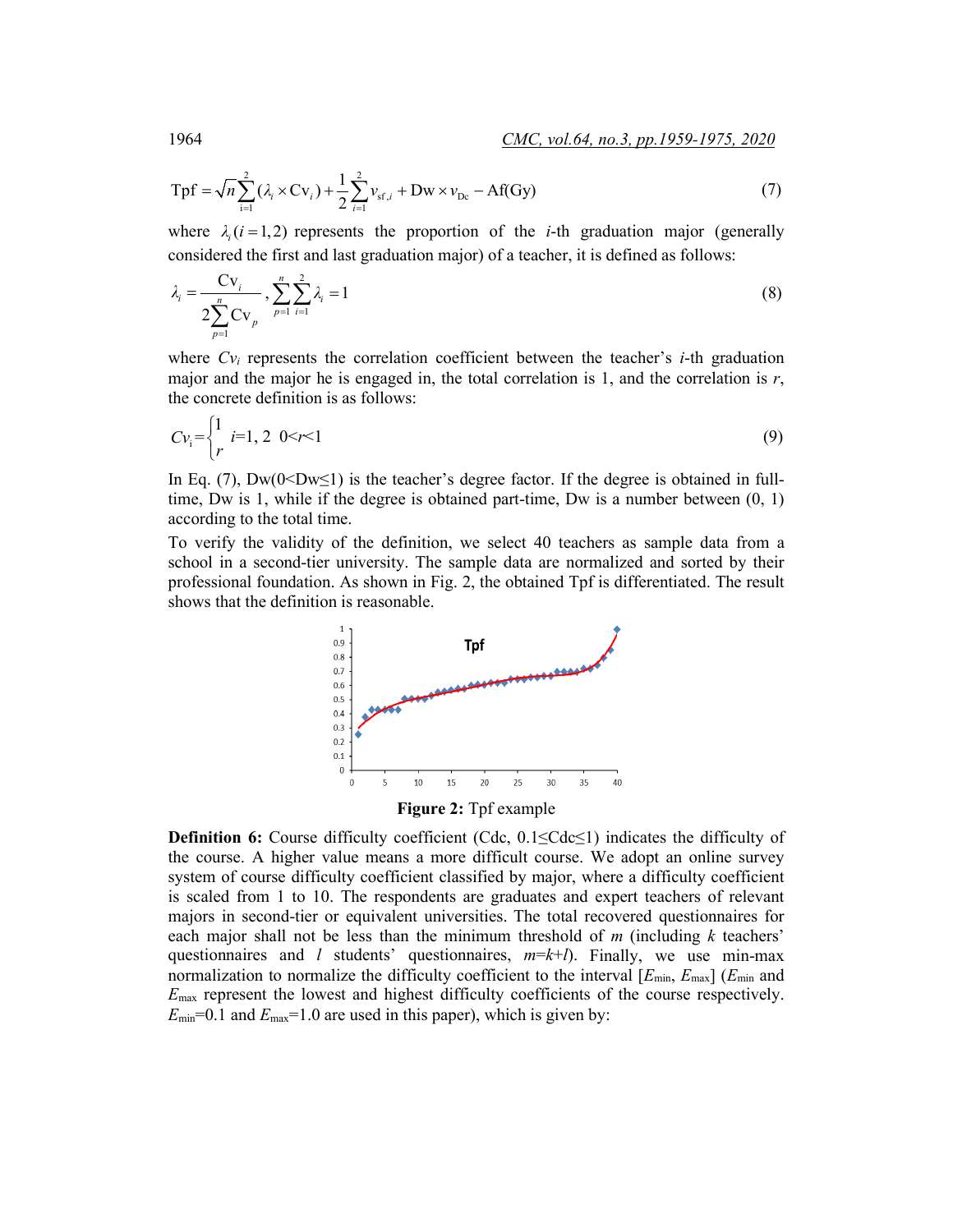$$
Tpf = \sqrt{n} \sum_{i=1}^{2} (\lambda_i \times Cv_i) + \frac{1}{2} \sum_{i=1}^{2} \nu_{sf,i} + Dw \times \nu_{pc} - Af(Gy)
$$
 (7)

where  $\lambda_i$  ( $i = 1,2$ ) represents the proportion of the *i*-th graduation major (generally considered the first and last graduation major) of a teacher, it is defined as follows:

$$
\lambda_i = \frac{Cv_i}{2\sum_{p=1}^n Cv_p}, \sum_{p=1}^n \sum_{i=1}^2 \lambda_i = 1
$$
\n(8)

where *Cvi* represents the correlation coefficient between the teacher's *i*-th graduation major and the major he is engaged in, the total correlation is 1, and the correlation is  $r$ , the concrete definition is as follows:

$$
Cv_i = \begin{cases} 1 & i=1,2 \quad 0 < r < 1 \\ r & (9) \end{cases}
$$

In Eq. (7),  $Dw(0 \leq Dw \leq 1)$  is the teacher's degree factor. If the degree is obtained in fulltime, Dw is 1, while if the degree is obtained part-time, Dw is a number between  $(0, 1)$ according to the total time.

To verify the validity of the definition, we select 40 teachers as sample data from a school in a second-tier university. The sample data are normalized and sorted by their professional foundation. As shown in Fig. 2, the obtained Tpf is differentiated. The result shows that the definition is reasonable.



**Figure 2:** Tpf example

**Definition 6:** Course difficulty coefficient (Cdc, 0.1≤Cdc≤1) indicates the difficulty of the course. A higher value means a more difficult course. We adopt an online survey system of course difficulty coefficient classified by major, where a difficulty coefficient is scaled from 1 to 10. The respondents are graduates and expert teachers of relevant majors in second-tier or equivalent universities. The total recovered questionnaires for each major shall not be less than the minimum threshold of *m* (including *k* teachers' questionnaires and *l* students' questionnaires,  $m=k+1$ ). Finally, we use min-max normalization to normalize the difficulty coefficient to the interval  $[E_{min}, E_{max}]$  ( $E_{min}$  and *E*max represent the lowest and highest difficulty coefficients of the course respectively.  $E_{\text{min}}$ =0.1 and  $E_{\text{max}}$ =1.0 are used in this paper), which is given by: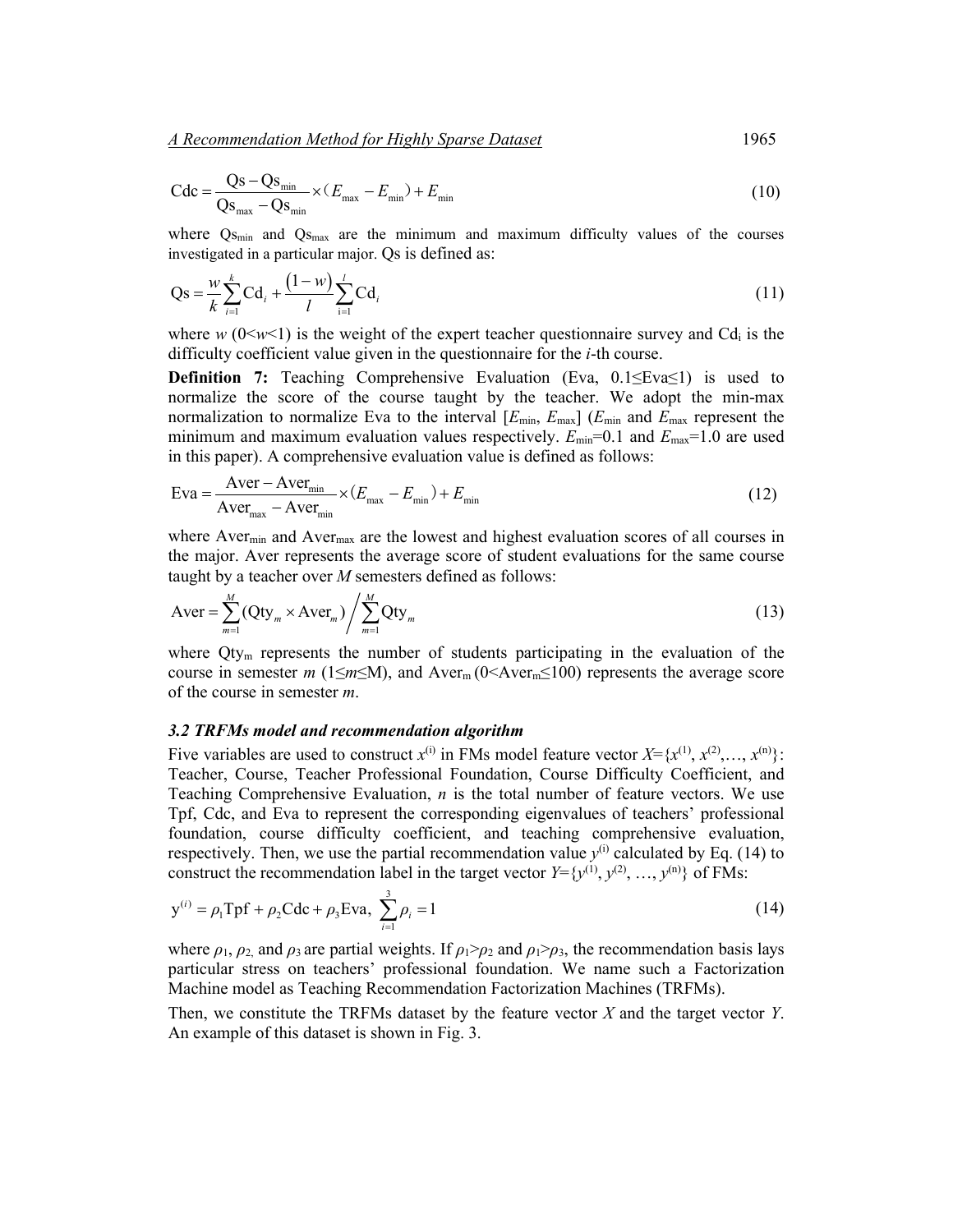*A Recommendation Method for Highly Sparse Dataset*1965

$$
Cdc = \frac{Qs - Qs_{\min}}{Qs_{\max} - Qs_{\min}} \times (E_{\max} - E_{\min}) + E_{\min}
$$
(10)

where Qs<sub>min</sub> and Qs<sub>max</sub> are the minimum and maximum difficulty values of the courses investigated in a particular major. Qs is defined as:

$$
Qs = \frac{w}{k} \sum_{i=1}^{k} Cd_i + \frac{(1-w)}{l} \sum_{i=1}^{l} Cd_i
$$
 (11)

where  $w$  ( $0 \le w \le 1$ ) is the weight of the expert teacher questionnaire survey and Cd<sub>i</sub> is the difficulty coefficient value given in the questionnaire for the *i*-th course.

**Definition 7:** Teaching Comprehensive Evaluation (Eva, 0.1≤Eva≤1) is used to normalize the score of the course taught by the teacher. We adopt the min-max normalization to normalize Eva to the interval  $[E_{min}, E_{max}]$  ( $E_{min}$  and  $E_{max}$  represent the minimum and maximum evaluation values respectively.  $E_{\text{min}}$ =0.1 and  $E_{\text{max}}$ =1.0 are used in this paper). A comprehensive evaluation value is defined as follows:

$$
Eva = \frac{Aver - Aver_{min}}{Aver_{max} - Aver_{min}} \times (E_{max} - E_{min}) + E_{min}
$$
(12)

where Aver<sub>min</sub> and Aver<sub>max</sub> are the lowest and highest evaluation scores of all courses in the major. Aver represents the average score of student evaluations for the same course taught by a teacher over *M* semesters defined as follows:

$$
Aver = \sum_{m=1}^{M} (Qty_m \times Aver_m) / \sum_{m=1}^{M} Qty_m
$$
 (13)

where  $\dot{Q}$ ty<sub>m</sub> represents the number of students participating in the evaluation of the course in semester *m* (1≤*m*≤M), and Aver<sub>m</sub> (0<Aver<sub>m</sub>≤100) represents the average score of the course in semester *m*.

### *3.2 TRFMs model and recommendation algorithm*

Five variables are used to construct  $x^{(i)}$  in FMs model feature vector  $X = \{x^{(1)}, x^{(2)}, \ldots, x^{(n)}\}$ : Teacher, Course, Teacher Professional Foundation, Course Difficulty Coefficient, and Teaching Comprehensive Evaluation, *n* is the total number of feature vectors. We use Tpf, Cdc, and Eva to represent the corresponding eigenvalues of teachers' professional foundation, course difficulty coefficient, and teaching comprehensive evaluation, respectively. Then, we use the partial recommendation value  $y^{(i)}$  calculated by Eq. (14) to construct the recommendation label in the target vector  $Y = \{y^{(1)}, y^{(2)}, \ldots, y^{(n)}\}$  of FMs:

$$
y^{(i)} = \rho_1 Tpf + \rho_2 Cdc + \rho_3 Eva, \sum_{i=1}^{3} \rho_i = 1
$$
 (14)

where  $\rho_1$ ,  $\rho_2$  and  $\rho_3$  are partial weights. If  $\rho_1 > \rho_2$  and  $\rho_1 > \rho_3$ , the recommendation basis lays particular stress on teachers' professional foundation. We name such a Factorization Machine model as Teaching Recommendation Factorization Machines (TRFMs).

Then, we constitute the TRFMs dataset by the feature vector *X* and the target vector *Y*. An example of this dataset is shown in Fig. 3.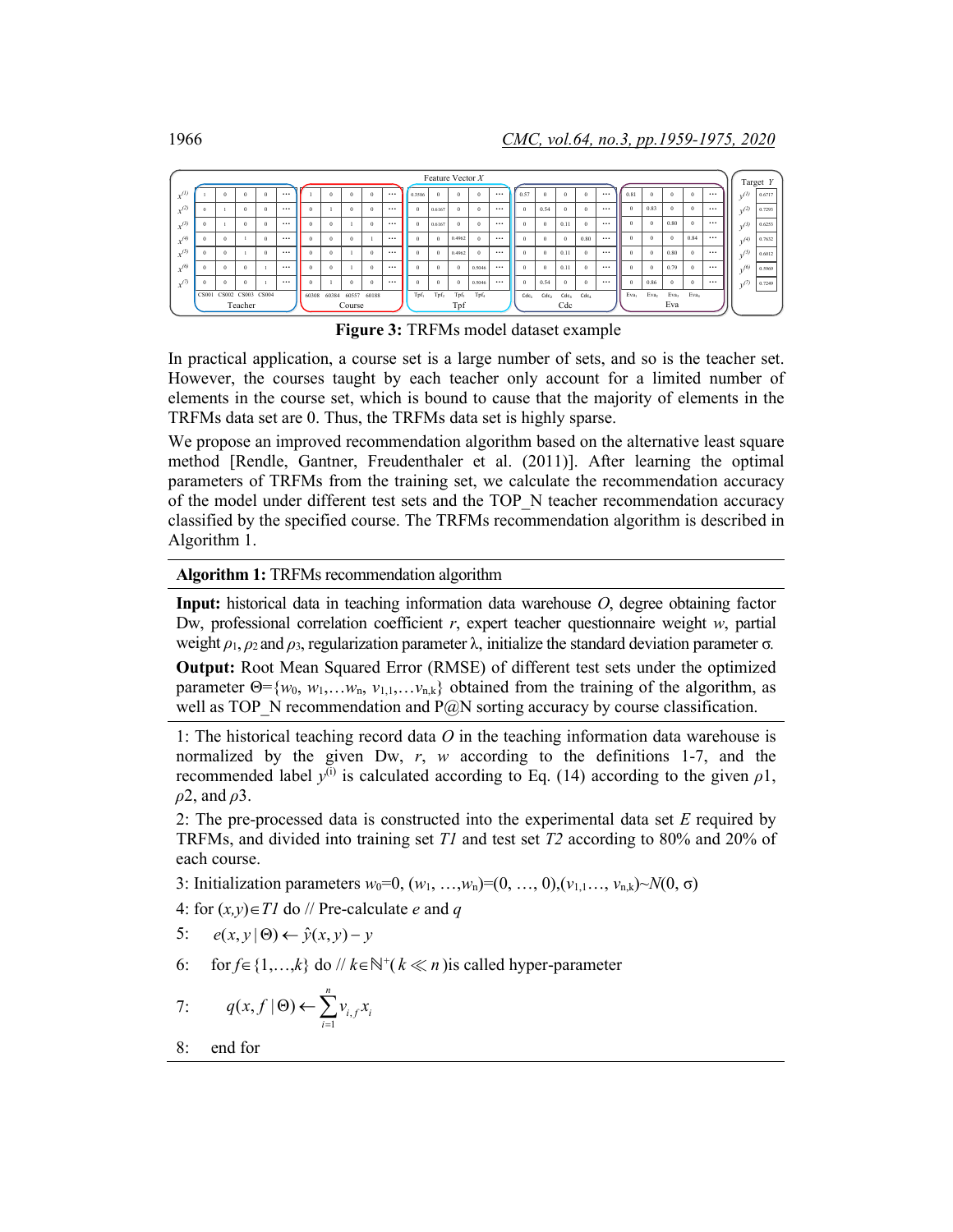| Feature Vector $X$ |  |  |  |                         |          |          |          |          |                   |          |          |                  |                  |                  | Target Y         |          |                  |                  |                  |          |          |                  |          |                  |          |          |            |        |
|--------------------|--|--|--|-------------------------|----------|----------|----------|----------|-------------------|----------|----------|------------------|------------------|------------------|------------------|----------|------------------|------------------|------------------|----------|----------|------------------|----------|------------------|----------|----------|------------|--------|
| $x^{(l)}$          |  |  |  | $\Omega$                | $\Omega$ | $\cdots$ |          |          | $\Omega$          | $\Omega$ | $\cdots$ | 0.3586           | $\Omega$         | $\Omega$         | $\Omega$         | $\cdots$ | 0.57             | $\theta$         | $\Omega$         | $\theta$ | $\cdots$ | 0.81             |          |                  | $\Omega$ | $\cdots$ | $v^{(l)}$  | 0.6717 |
| $\sqrt{2}$         |  |  |  | $\Omega$                | $\Omega$ | $\cdots$ | $\Omega$ |          | $\Omega$          | $\Omega$ | $\cdots$ | $\theta$         | 0.6167           | $\Omega$         | $\Omega$         | $\cdots$ | $\Omega$         | 0.54             | $\theta$         | $\theta$ | $\cdots$ |                  | 0.83     |                  | $\Omega$ | $\cdots$ | n(2)       | 0.7293 |
| (3)                |  |  |  | $\theta$                | $\Omega$ | $\cdots$ | $\Omega$ | $\Omega$ |                   |          | $\cdots$ | $\theta$         | 0.6167           | $\theta$         | $\Omega$         | $\cdots$ | $\Omega$         | $\theta$         | 0.11             | $\theta$ | $\cdots$ |                  | $\Omega$ | 0.80             | $\Omega$ | $\cdots$ | $n^{(3)}$  | 0.6253 |
| (4)                |  |  |  |                         | $\Omega$ | $\cdots$ | $\theta$ | $\Omega$ | $\theta$          |          | $\cdots$ | $\theta$         | $\theta$         | 0.4962           | $\theta$         | $\cdots$ | $\Omega$         | $\theta$         | $\theta$         | 0.80     | $\cdots$ |                  |          |                  | 0.84     | $\cdots$ | (4)        | 0.7632 |
| (5)                |  |  |  |                         | Ő        | $\cdots$ |          |          |                   |          | $\cdots$ | $\theta$         | $\Omega$         | 0.4962           | $\Omega$         | $\cdots$ |                  | $\theta$         | 0.11             | $\theta$ | $\cdots$ |                  | $\Omega$ | 0.80             | $\Omega$ | $\cdots$ | n(5)       | 0.6012 |
| (6)                |  |  |  | $\Omega$                |          | $\cdots$ |          | $\theta$ |                   | $\Omega$ | $\cdots$ | $\Omega$         | $\theta$         | $\Omega$         | 0.5046           | $\cdots$ | $\Omega$         | $\theta$         | 0.11             | $\theta$ | $\cdots$ |                  | $\Omega$ | 0.79             | $\Omega$ | $\cdots$ | (6)        | 0.5969 |
| $\sqrt{7}$         |  |  |  | $\Omega$                |          | $\cdots$ |          |          | $\Omega$          | $\Omega$ | $\cdots$ | $\Omega$         | $\theta$         | $\Omega$         | 0.5046           | $\cdots$ | $\Omega$         | 0.54             | $\theta$         | $\theta$ | $\cdots$ |                  | 0.86     |                  | $\Omega$ | $\cdots$ | $\sqrt{ }$ | 0.7249 |
|                    |  |  |  | CS001 CS002 CS003 CS004 |          |          | 60308    |          | 60384 60557 60188 |          |          | Tpf <sub>1</sub> | Tpf <sub>2</sub> | Tpf <sub>3</sub> | Tpf <sub>4</sub> |          | Cdc <sub>1</sub> | Cdc <sub>2</sub> | Cdc <sub>3</sub> | Cdca     |          | Eva <sub>1</sub> | Eva2     | Eva <sub>3</sub> | Eva.     |          |            |        |
|                    |  |  |  | Teacher                 |          |          |          |          | Course            |          |          |                  |                  | Tpf              |                  |          |                  |                  | Cdc              |          |          |                  |          | Eva              |          |          |            |        |

**Figure 3:** TRFMs model dataset example

In practical application, a course set is a large number of sets, and so is the teacher set. However, the courses taught by each teacher only account for a limited number of elements in the course set, which is bound to cause that the majority of elements in the TRFMs data set are 0. Thus, the TRFMs data set is highly sparse.

We propose an improved recommendation algorithm based on the alternative least square method [Rendle, Gantner, Freudenthaler et al. (2011)]. After learning the optimal parameters of TRFMs from the training set, we calculate the recommendation accuracy of the model under different test sets and the TOP\_N teacher recommendation accuracy classified by the specified course. The TRFMs recommendation algorithm is described in Algorithm 1.

#### **Algorithm 1:** TRFMs recommendation algorithm

**Input:** historical data in teaching information data warehouse *O*, degree obtaining factor Dw, professional correlation coefficient *r*, expert teacher questionnaire weight *w*, partial weight  $ρ_1$ ,  $ρ_2$  and  $ρ_3$ , regularization parameter  $λ$ , initialize the standard deviation parameter  $σ$ .

**Output:** Root Mean Squared Error (RMSE) of different test sets under the optimized parameter  $\Theta = \{w_0, w_1, \ldots, w_n, v_{1,1}, \ldots, v_{n,k}\}$  obtained from the training of the algorithm, as well as TOP\_N recommendation and  $P@N$  sorting accuracy by course classification.

1: The historical teaching record data *O* in the teaching information data warehouse is normalized by the given Dw, *r*, *w* according to the definitions 1-7, and the recommended label  $y^{(i)}$  is calculated according to Eq. (14) according to the given  $\rho$ 1, *ρ*2, and *ρ*3.

2: The pre-processed data is constructed into the experimental data set *E* required by TRFMs, and divided into training set *T1* and test set *T2* according to 80% and 20% of each course.

- 3: Initialization parameters  $w_0=0$ ,  $(w_1, ..., w_n)=(0, ..., 0)$ ,  $(v_{1,1}, ..., v_{n,k})\sim N(0, \sigma)$
- 4: for (*x,y*)∈*T1* do // Pre-calculate *e* and *q*

5: 
$$
e(x, y | \Theta) \leftarrow \hat{y}(x, y) - y
$$

6: for  $f \in \{1,...,k\}$  do //  $k \in \mathbb{N}^+(k \ll n)$  is called hyper-parameter

7: 
$$
q(x,f | \Theta) \leftarrow \sum_{i=1}^{n} v_{i,f} x_i
$$

8: end for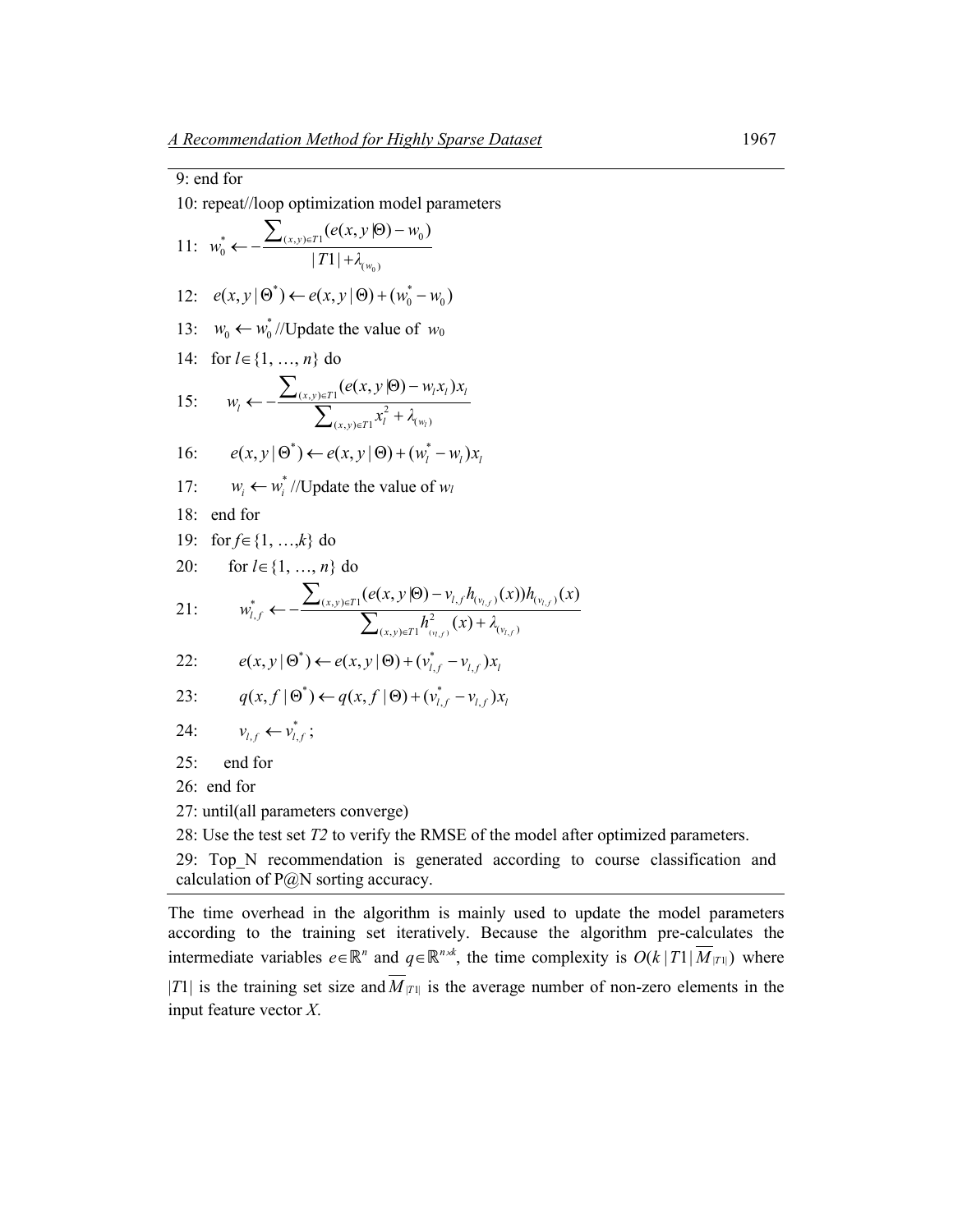| 9: end for                                                                                                                                                                          |  |  |  |  |  |  |  |  |
|-------------------------------------------------------------------------------------------------------------------------------------------------------------------------------------|--|--|--|--|--|--|--|--|
| 10: repeat//loop optimization model parameters                                                                                                                                      |  |  |  |  |  |  |  |  |
| 11: $w_0^* \leftarrow -\frac{\sum_{(x,y)\in T_1} (e(x,y \Theta) - w_0)}{ T_1  + \lambda_{\min}}$                                                                                    |  |  |  |  |  |  |  |  |
| $e(x, y   \Theta^*) \leftarrow e(x, y   \Theta) + (w_0^* - w_0)$<br>12:                                                                                                             |  |  |  |  |  |  |  |  |
| $w_0 \leftarrow w_0^*$ //Update the value of $w_0$<br>13:                                                                                                                           |  |  |  |  |  |  |  |  |
| for $l \in \{1, , n\}$ do<br>14:                                                                                                                                                    |  |  |  |  |  |  |  |  |
| $w_i \leftarrow -\frac{\sum_{(x,y)\in T_1} (e(x,y \Theta) - w_i x_i)x_i}{\sum_{(x,y)\in T_1} x_i^2 + \lambda_{(w_i)}}$<br>15:                                                       |  |  |  |  |  |  |  |  |
| $e(x, y   \Theta^*) \leftarrow e(x, y   \Theta) + (w_i^* - w_i)x_i$<br>16:                                                                                                          |  |  |  |  |  |  |  |  |
| $w_i \leftarrow w_i^*$ //Update the value of $w_i$<br>17:                                                                                                                           |  |  |  |  |  |  |  |  |
| 18:<br>end for                                                                                                                                                                      |  |  |  |  |  |  |  |  |
| for $f \in \{1, , k\}$ do<br>19:                                                                                                                                                    |  |  |  |  |  |  |  |  |
| for $l \in \{1, , n\}$ do<br>20:                                                                                                                                                    |  |  |  |  |  |  |  |  |
| $w_{l,f}^* \leftarrow -\frac{\sum_{(x,y)\in T_l} (e(x,y \Theta) - v_{l,f} h_{(v_{l,f})}(x)) h_{(v_{l,f})}(x)}{\sum_{(x,y)\in T_l} h_{(v_{l,f})}^2(x) + \lambda_{(v_{l,f})}}$<br>21: |  |  |  |  |  |  |  |  |
| $e(x, y   \Theta^*) \leftarrow e(x, y   \Theta) + (v_{i}^* - v_{i}^*)x_i$<br>22:                                                                                                    |  |  |  |  |  |  |  |  |
| $q(x, f   \Theta^*) \leftarrow q(x, f   \Theta) + (v_{i}^* - v_{i}^*)x_i$<br>23:                                                                                                    |  |  |  |  |  |  |  |  |
| 24:<br>$v_{i,f} \leftarrow v_{i,f}^*$ ;                                                                                                                                             |  |  |  |  |  |  |  |  |
| 25:<br>end for                                                                                                                                                                      |  |  |  |  |  |  |  |  |
| 26: end for                                                                                                                                                                         |  |  |  |  |  |  |  |  |
| 27: until(all parameters converge)                                                                                                                                                  |  |  |  |  |  |  |  |  |
| 28: Use the test set $T2$ to verify the RMSE of the model after optimized parameters.                                                                                               |  |  |  |  |  |  |  |  |
|                                                                                                                                                                                     |  |  |  |  |  |  |  |  |

29: Top\_N recommendation is generated according to course classification and calculation of P@N sorting accuracy.

The time overhead in the algorithm is mainly used to update the model parameters according to the training set iteratively. Because the algorithm pre-calculates the intermediate variables  $e \in \mathbb{R}^n$  and  $q \in \mathbb{R}^{n \times k}$ , the time complexity is  $O(k | T_1 | M_{|T_1|})$  where |*T*1| is the training set size and  $\overline{M}_{|T|}$  is the average number of non-zero elements in the input feature vector *X*.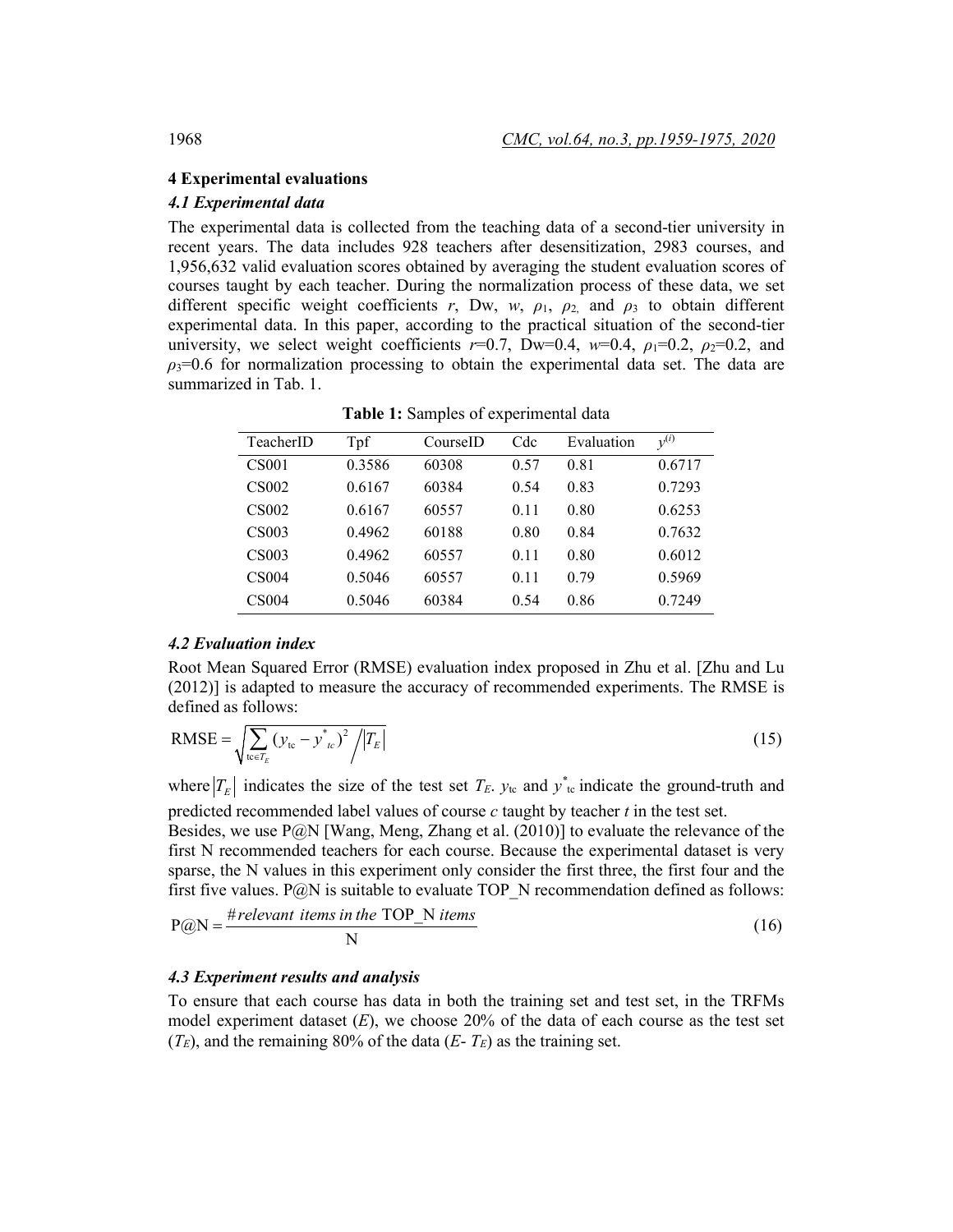### **4 Experimental evaluations**

# *4.1 Experimental data*

The experimental data is collected from the teaching data of a second-tier university in recent years. The data includes 928 teachers after desensitization, 2983 courses, and 1,956,632 valid evaluation scores obtained by averaging the student evaluation scores of courses taught by each teacher. During the normalization process of these data, we set different specific weight coefficients  $r$ , Dw,  $w$ ,  $\rho_1$ ,  $\rho_2$  and  $\rho_3$  to obtain different experimental data. In this paper, according to the practical situation of the second-tier university, we select weight coefficients  $r=0.7$ , Dw=0.4,  $w=0.4$ ,  $\rho_1=0.2$ ,  $\rho_2=0.2$ , and  $\rho_3$ =0.6 for normalization processing to obtain the experimental data set. The data are summarized in Tab. 1.

| TeacherID         | Tpf    | CourseID | Cdc  | Evaluation | $v^{(i)}$ |
|-------------------|--------|----------|------|------------|-----------|
| <b>CS001</b>      | 0.3586 | 60308    | 0.57 | 0.81       | 0.6717    |
| CS <sub>002</sub> | 0.6167 | 60384    | 0.54 | 0.83       | 0.7293    |
| <b>CS002</b>      | 0.6167 | 60557    | 0.11 | 0.80       | 0.6253    |
| CS <sub>003</sub> | 0.4962 | 60188    | 0.80 | 0.84       | 0.7632    |
| CS <sub>003</sub> | 0.4962 | 60557    | 0.11 | 0.80       | 0.6012    |
| <b>CS004</b>      | 0.5046 | 60557    | 0.11 | 0.79       | 0.5969    |
| <b>CS004</b>      | 0.5046 | 60384    | 0.54 | 0.86       | 0.7249    |

**Table 1:** Samples of experimental data

### *4.2 Evaluation index*

Root Mean Squared Error (RMSE) evaluation index proposed in Zhu et al. [Zhu and Lu (2012)] is adapted to measure the accuracy of recommended experiments. The RMSE is defined as follows:

$$
\text{RMSE} = \sqrt{\sum_{\text{te} \in T_E} (y_{\text{te}} - y_{\text{te}})^2 / |T_E|}
$$
(15)

where  $|T_E|$  indicates the size of the test set  $T_E$ .  $y_{tc}$  and  $y^*_{tc}$  indicate the ground-truth and predicted recommended label values of course *c* taught by teacher *t* in the test set.

Besides, we use  $P(\partial N | W \text{ang}, M \text{eng}, Z \text{hang et al.} (2010))$  to evaluate the relevance of the first N recommended teachers for each course. Because the experimental dataset is very sparse, the N values in this experiment only consider the first three, the first four and the first five values. P $@N$  is suitable to evaluate TOP\_N recommendation defined as follows:

$$
P@N = \frac{\text{\#relevant items in the TOP_N items}}{N}
$$
\n(16)

### *4.3 Experiment results and analysis*

To ensure that each course has data in both the training set and test set, in the TRFMs model experiment dataset (*E*), we choose 20% of the data of each course as the test set  $(T_E)$ , and the remaining 80% of the data  $(E - T_E)$  as the training set.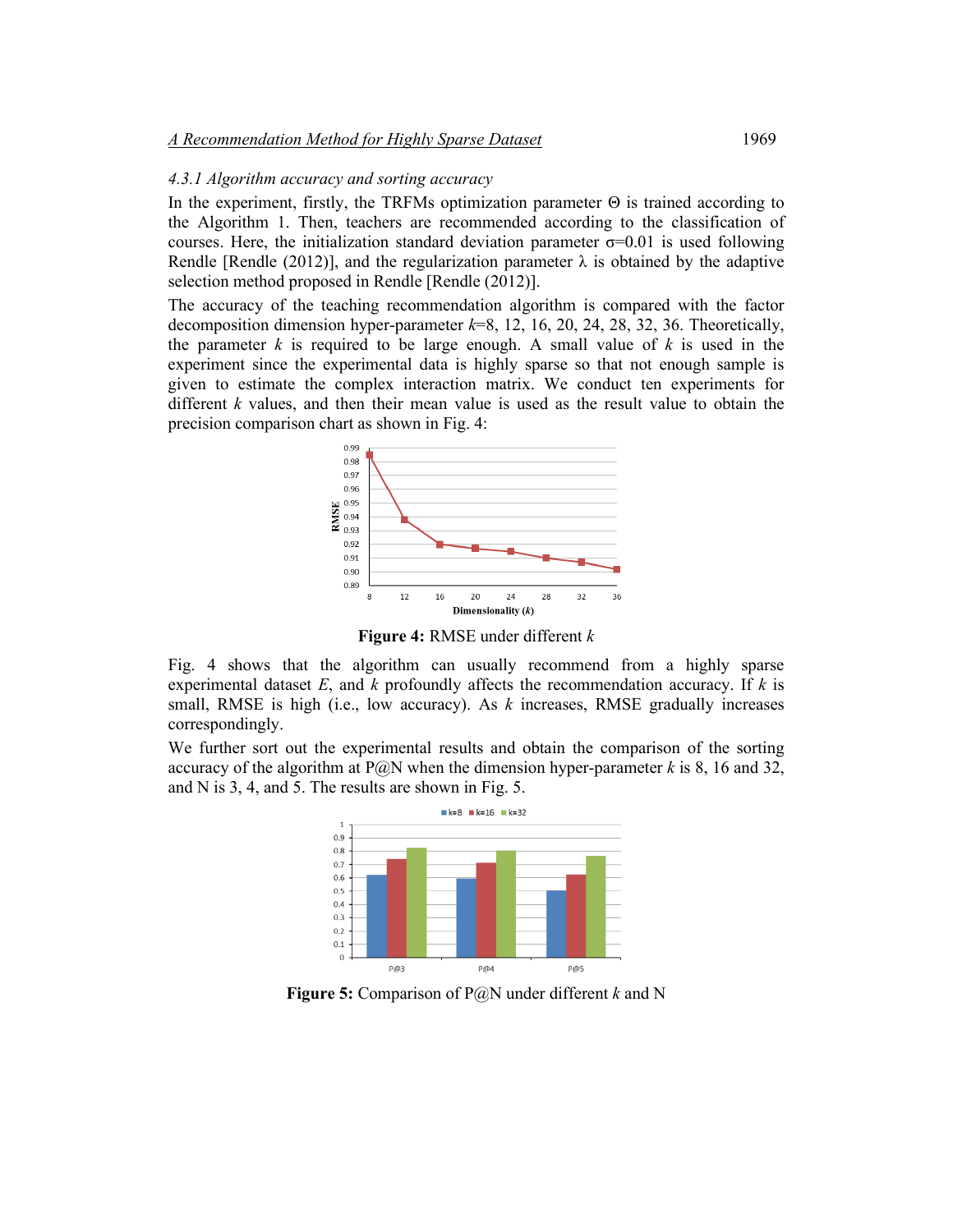#### *4.3.1 Algorithm accuracy and sorting accuracy*

In the experiment, firstly, the TRFMs optimization parameter  $\Theta$  is trained according to the Algorithm 1. Then, teachers are recommended according to the classification of courses. Here, the initialization standard deviation parameter  $\sigma$ =0.01 is used following Rendle [Rendle (2012)], and the regularization parameter  $\lambda$  is obtained by the adaptive selection method proposed in Rendle [Rendle (2012)].

The accuracy of the teaching recommendation algorithm is compared with the factor decomposition dimension hyper-parameter *k*=8, 12, 16, 20, 24, 28, 32, 36. Theoretically, the parameter *k* is required to be large enough. A small value of *k* is used in the experiment since the experimental data is highly sparse so that not enough sample is given to estimate the complex interaction matrix. We conduct ten experiments for different *k* values, and then their mean value is used as the result value to obtain the precision comparison chart as shown in Fig. 4:



**Figure 4:** RMSE under different *k*

Fig. 4 shows that the algorithm can usually recommend from a highly sparse experimental dataset *E*, and *k* profoundly affects the recommendation accuracy. If *k* is small, RMSE is high (i.e., low accuracy). As *k* increases, RMSE gradually increases correspondingly.

We further sort out the experimental results and obtain the comparison of the sorting accuracy of the algorithm at P@N when the dimension hyper-parameter  $k$  is 8, 16 and 32, and N is 3, 4, and 5. The results are shown in Fig. 5.



**Figure 5:** Comparison of P@N under different *k* and N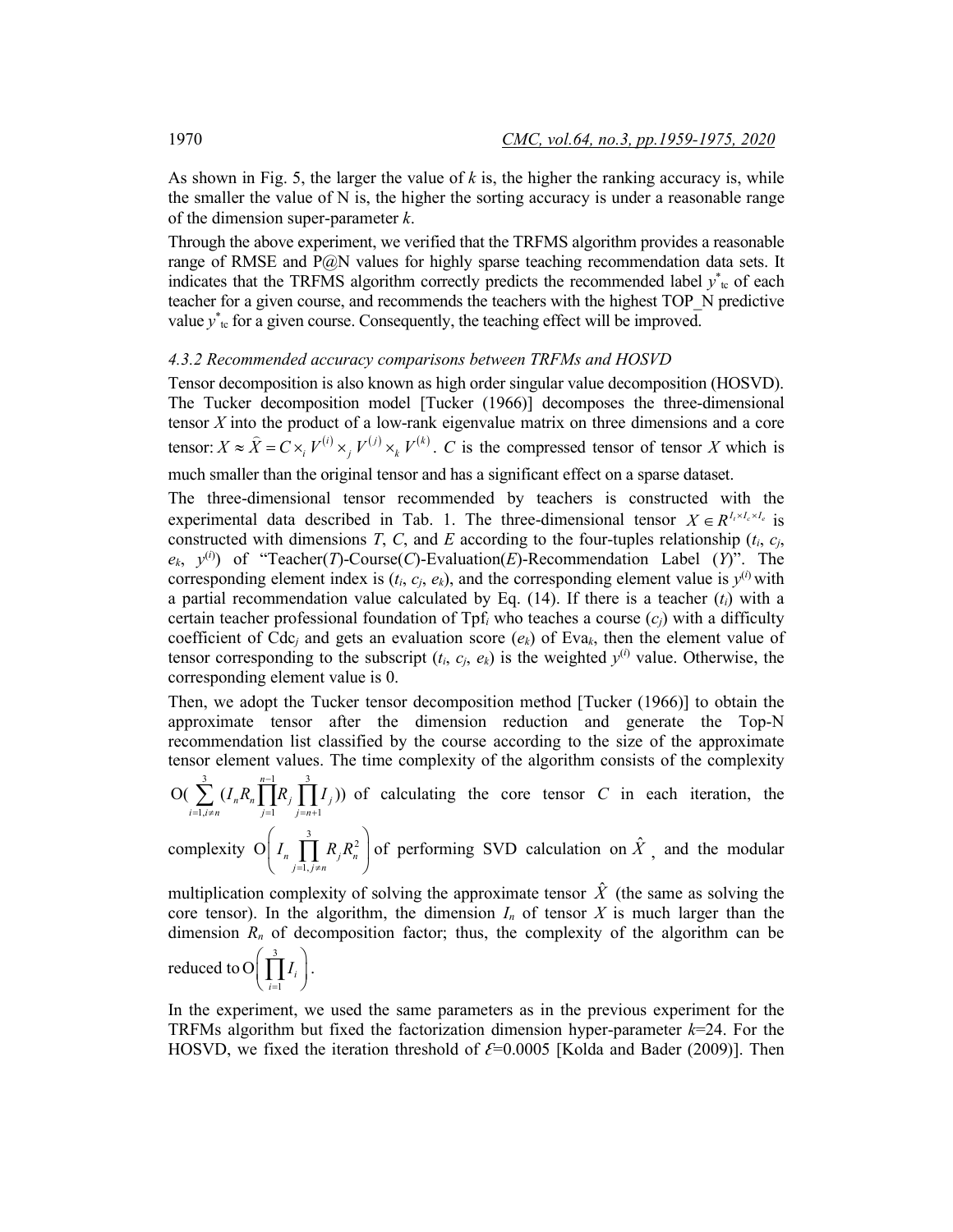As shown in Fig. 5, the larger the value of *k* is, the higher the ranking accuracy is, while the smaller the value of  $N$  is, the higher the sorting accuracy is under a reasonable range of the dimension super-parameter *k*.

Through the above experiment, we verified that the TRFMS algorithm provides a reasonable range of RMSE and P@N values for highly sparse teaching recommendation data sets. It indicates that the TRFMS algorithm correctly predicts the recommended label  $y^*_{\text{te}}$  of each teacher for a given course, and recommends the teachers with the highest TOP\_N predictive value  $y^*_{\text{tc}}$  for a given course. Consequently, the teaching effect will be improved.

# *4.3.2 Recommended accuracy comparisons between TRFMs and HOSVD*

Tensor decomposition is also known as high order singular value decomposition (HOSVD). The Tucker decomposition model [Tucker (1966)] decomposes the three-dimensional tensor *X* into the product of a low-rank eigenvalue matrix on three dimensions and a core tensor:  $X \approx \hat{X} = C \times_i V^{(i)} \times_j V^{(j)} \times_k V^{(k)}$ . *C* is the compressed tensor of tensor *X* which is much smaller than the original tensor and has a significant effect on a sparse dataset.

The three-dimensional tensor recommended by teachers is constructed with the experimental data described in Tab. 1. The three-dimensional tensor  $X \in R^{I_1 \times I_c \times I_e}$  is constructed with dimensions *T*, *C*, and *E* according to the four-tuples relationship  $(t_i, c_j)$ ,  $e_k$ ,  $y^{(i)}$  of "Teacher(*T*)-Course(*C*)-Evaluation(*E*)-Recommendation Label (*Y*)". The corresponding element index is  $(t_i, c_j, e_k)$ , and the corresponding element value is  $y^{(i)}$  with a partial recommendation value calculated by Eq. (14). If there is a teacher (*ti*) with a certain teacher professional foundation of Tpf*<sup>i</sup>* who teaches a course (*cj*) with a difficulty coefficient of Cdc<sub>i</sub> and gets an evaluation score  $(e_k)$  of Eva<sub>k</sub>, then the element value of tensor corresponding to the subscript  $(t_i, c_j, e_k)$  is the weighted  $y^{(i)}$  value. Otherwise, the corresponding element value is 0.

Then, we adopt the Tucker tensor decomposition method [Tucker (1966)] to obtain the approximate tensor after the dimension reduction and generate the Top-N recommendation list classified by the course according to the size of the approximate tensor element values. The time complexity of the algorithm consists of the complexity  $\frac{3}{3}$ 

 $\exists i, i \neq n$   $j=1$   $j=n+1$  $O(\sum_{i=1}^{3} (I_n R_n \prod_{i=1}^{n-1} R_i \prod_{j=1}^{3} I_{ij}))$  $\sum_{i=1, i\neq n} \sum_{j=1}^{\mathbf{i}} n^{I\mathbf{i}} n \prod_{j=1}^{\mathbf{i}} \prod_{j=n+1}^{I} j$  $I_n R_n \parallel R_i \parallel I$ −  $\sum_{j=1, j \neq n} (I_n R_n \prod_{j=1}^n R_j \prod_{j=n+1}^n I_j)$  of calculating the core tensor *C* in each iteration, the

complexity O  $I_n \prod_{i=1}^3 R_i R_n^2$  $O\left(I_n\prod_{j=1,j\neq n}R_jR_n^2\right]$  $I_n$  | |  $R_iR$  $= 1, i \neq$  $\left(I_n \prod_{j=1, j \neq n}^{3} R_j R_n^2\right)$  of performing SVD calculation on  $\hat{X}$ , and the modular

multiplication complexity of solving the approximate tensor  $\hat{X}$  (the same as solving the core tensor). In the algorithm, the dimension  $I_n$  of tensor  $X$  is much larger than the dimension  $R_n$  of decomposition factor; thus, the complexity of the algorithm can be reduced to  $O(\prod^3$  $O\Big(\prod_{i=1}^n I_i$ *I*  $\left(\prod_{i=1}^3 I_i\right).$ 

In the experiment, we used the same parameters as in the previous experiment for the TRFMs algorithm but fixed the factorization dimension hyper-parameter *k*=24. For the HOSVD, we fixed the iteration threshold of *Ɛ*=0.0005 [Kolda and Bader (2009)]. Then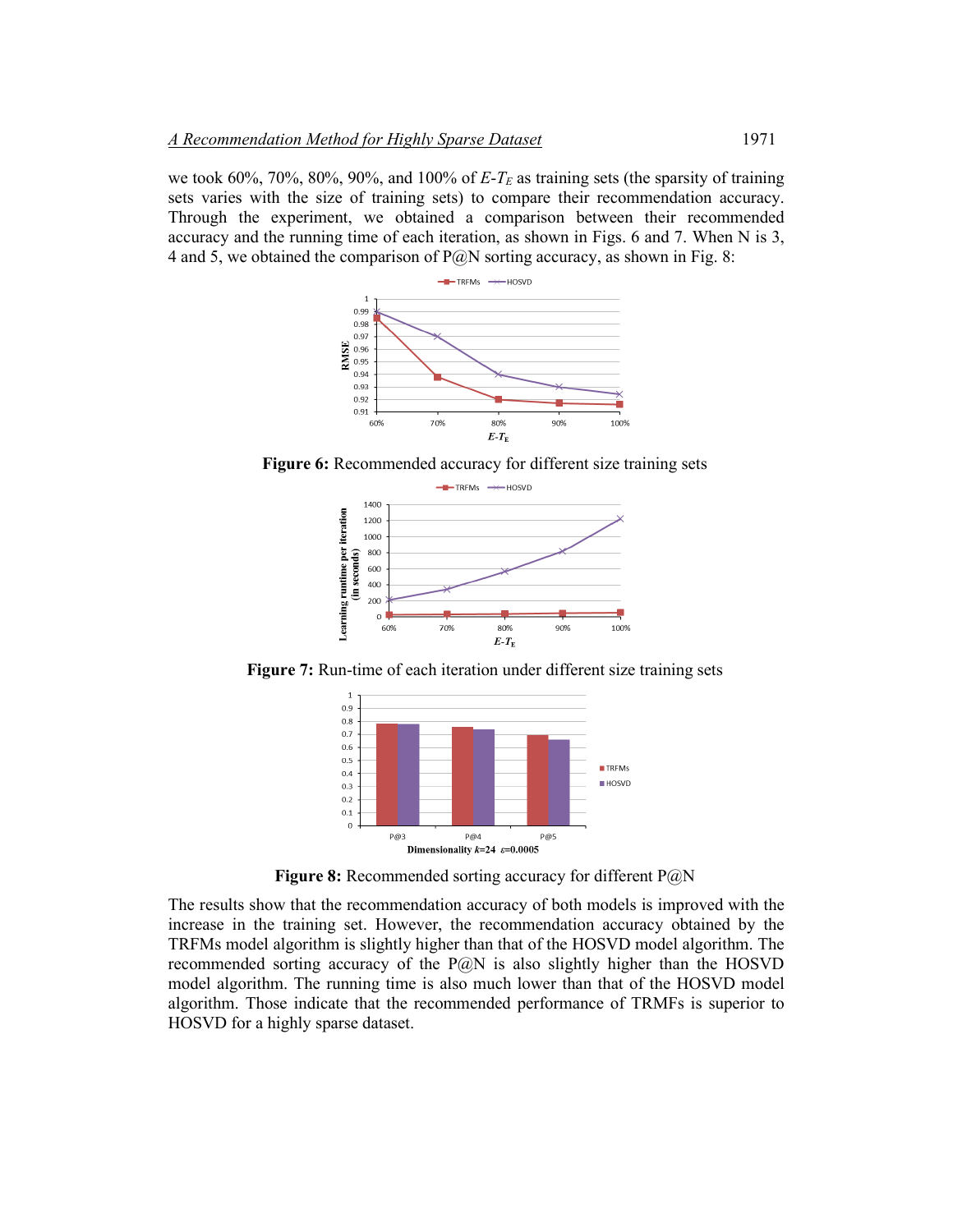we took 60%, 70%, 80%, 90%, and 100% of  $E-T_E$  as training sets (the sparsity of training sets varies with the size of training sets) to compare their recommendation accuracy. Through the experiment, we obtained a comparison between their recommended accuracy and the running time of each iteration, as shown in Figs. 6 and 7. When N is 3, 4 and 5, we obtained the comparison of  $P(\partial N)$  sorting accuracy, as shown in Fig. 8:



**Figure 6:** Recommended accuracy for different size training sets



**Figure 7:** Run-time of each iteration under different size training sets



**Figure 8:** Recommended sorting accuracy for different P@N

The results show that the recommendation accuracy of both models is improved with the increase in the training set. However, the recommendation accuracy obtained by the TRFMs model algorithm is slightly higher than that of the HOSVD model algorithm. The recommended sorting accuracy of the  $P@N$  is also slightly higher than the HOSVD model algorithm. The running time is also much lower than that of the HOSVD model algorithm. Those indicate that the recommended performance of TRMFs is superior to HOSVD for a highly sparse dataset.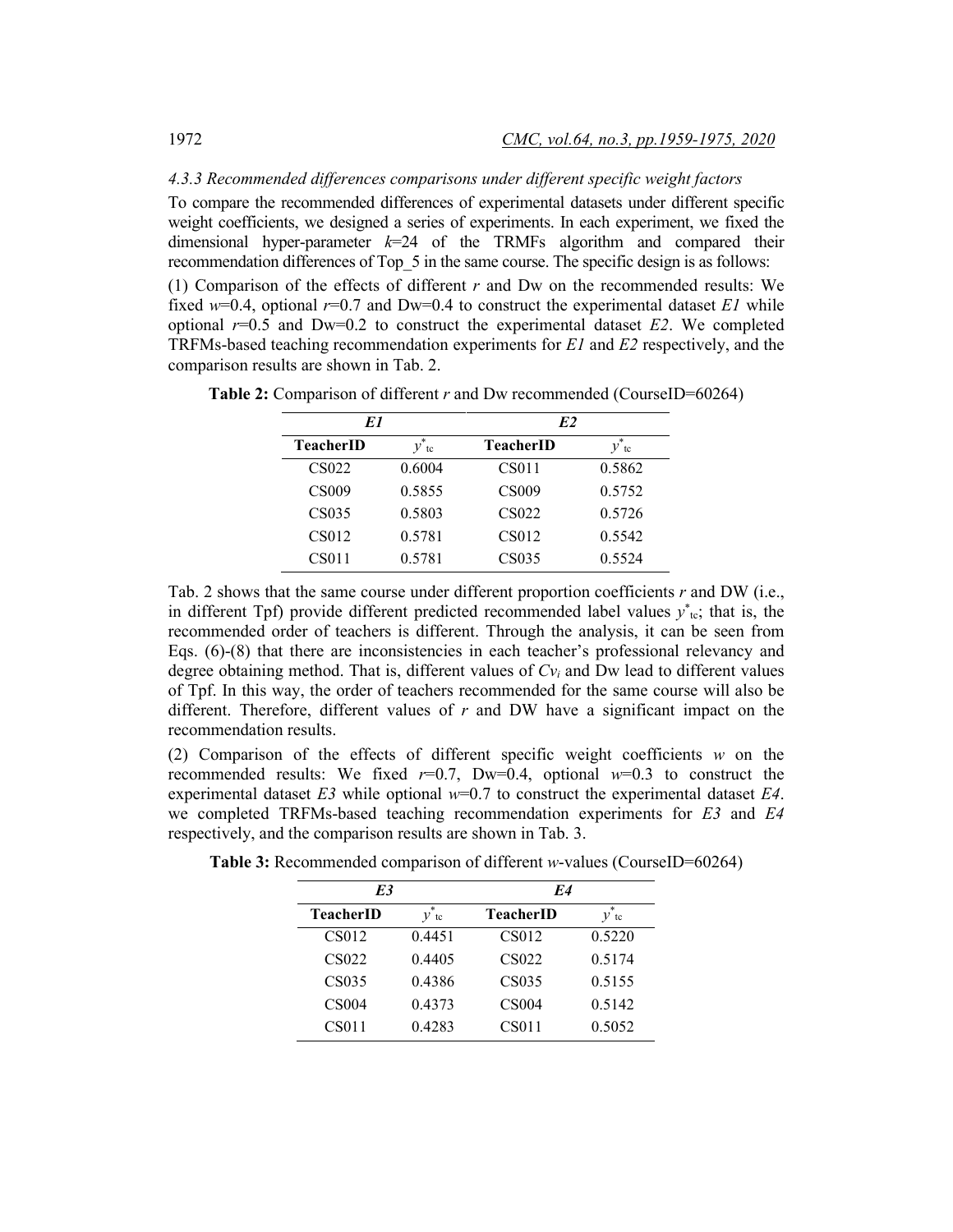### *4.3.3 Recommended differences comparisons under different specific weight factors*

To compare the recommended differences of experimental datasets under different specific weight coefficients, we designed a series of experiments. In each experiment, we fixed the dimensional hyper-parameter  $k=24$  of the TRMFs algorithm and compared their recommendation differences of Top\_5 in the same course. The specific design is as follows:

(1) Comparison of the effects of different *r* and Dw on the recommended results: We fixed  $w=0.4$ , optional  $r=0.7$  and Dw=0.4 to construct the experimental dataset *E1* while optional  $r=0.5$  and  $Dw=0.2$  to construct the experimental dataset *E2*. We completed TRFMs-based teaching recommendation experiments for *E1* and *E2* respectively, and the comparison results are shown in Tab. 2.

| E1               |                    | E2               |         |  |  |  |  |
|------------------|--------------------|------------------|---------|--|--|--|--|
| <b>TeacherID</b> | $\mathcal V$<br>tc | <b>TeacherID</b> | ν<br>tc |  |  |  |  |
| CS022            | 0.6004             | CS011            | 0.5862  |  |  |  |  |
| CS009            | 0.5855             | <b>CS009</b>     | 0.5752  |  |  |  |  |
| CS035            | 0.5803             | CS022            | 0.5726  |  |  |  |  |
| CS012            | 0.5781             | CS012            | 0.5542  |  |  |  |  |
| CS011            | 0.5781             | CS035            | 0.5524  |  |  |  |  |

**Table 2:** Comparison of different *r* and Dw recommended (CourseID=60264)

Tab. 2 shows that the same course under different proportion coefficients *r* and DW (i.e., in different Tpf) provide different predicted recommended label values  $y^*_{tc}$ ; that is, the recommended order of teachers is different. Through the analysis, it can be seen from Eqs. (6)-(8) that there are inconsistencies in each teacher's professional relevancy and degree obtaining method. That is, different values of  $Cv_i$  and Dw lead to different values of Tpf. In this way, the order of teachers recommended for the same course will also be different. Therefore, different values of *r* and DW have a significant impact on the recommendation results.

(2) Comparison of the effects of different specific weight coefficients *w* on the recommended results: We fixed  $r=0.7$ , Dw=0.4, optional  $w=0.3$  to construct the experimental dataset *E3* while optional *w*=0.7 to construct the experimental dataset *E4*. we completed TRFMs-based teaching recommendation experiments for *E3* and *E4* respectively, and the comparison results are shown in Tab. 3.

| E3           |             | E4               |         |
|--------------|-------------|------------------|---------|
| TeacherID    | $v^*$<br>tc | <b>TeacherID</b> | ν<br>tc |
| CS012        | 0.4451      | CS012            | 0.5220  |
| CS022        | 0.4405      | CS022            | 0.5174  |
| CS035        | 0.4386      | CS035            | 0.5155  |
| <b>CS004</b> | 0.4373      | <b>CS004</b>     | 0.5142  |
| CS011        | 0.4283      | CS011            | 0.5052  |

**Table 3:** Recommended comparison of different *w*-values (CourseID=60264)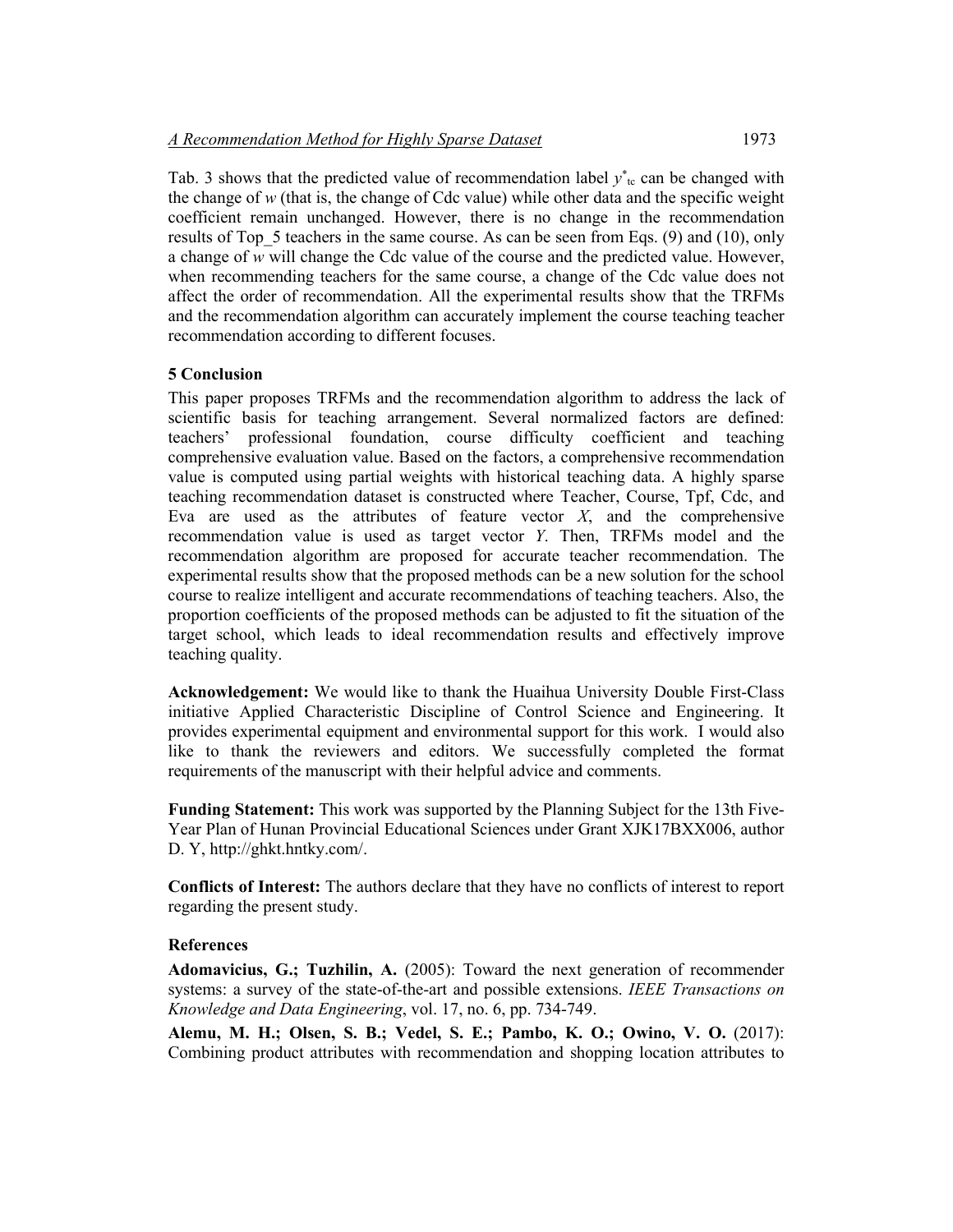Tab. 3 shows that the predicted value of recommendation label  $y^*_{\text{te}}$  can be changed with the change of *w* (that is, the change of Cdc value) while other data and the specific weight coefficient remain unchanged. However, there is no change in the recommendation results of Top 5 teachers in the same course. As can be seen from Eqs. (9) and (10), only a change of *w* will change the Cdc value of the course and the predicted value. However, when recommending teachers for the same course, a change of the Cdc value does not affect the order of recommendation. All the experimental results show that the TRFMs and the recommendation algorithm can accurately implement the course teaching teacher recommendation according to different focuses.

# **5 Conclusion**

This paper proposes TRFMs and the recommendation algorithm to address the lack of scientific basis for teaching arrangement. Several normalized factors are defined: teachers' professional foundation, course difficulty coefficient and teaching comprehensive evaluation value. Based on the factors, a comprehensive recommendation value is computed using partial weights with historical teaching data. A highly sparse teaching recommendation dataset is constructed where Teacher, Course, Tpf, Cdc, and Eva are used as the attributes of feature vector *X*, and the comprehensive recommendation value is used as target vector *Y*. Then, TRFMs model and the recommendation algorithm are proposed for accurate teacher recommendation. The experimental results show that the proposed methods can be a new solution for the school course to realize intelligent and accurate recommendations of teaching teachers. Also, the proportion coefficients of the proposed methods can be adjusted to fit the situation of the target school, which leads to ideal recommendation results and effectively improve teaching quality.

**Acknowledgement:** We would like to thank the Huaihua University Double First-Class initiative Applied Characteristic Discipline of Control Science and Engineering. It provides experimental equipment and environmental support for this work. I would also like to thank the reviewers and editors. We successfully completed the format requirements of the manuscript with their helpful advice and comments.

**Funding Statement:** This work was supported by the Planning Subject for the 13th Five-Year Plan of Hunan Provincial Educational Sciences under Grant XJK17BXX006, author D. Y, http://ghkt.hntky.com/.

**Conflicts of Interest:** The authors declare that they have no conflicts of interest to report regarding the present study.

# **References**

**Adomavicius, G.; Tuzhilin, A.** (2005): Toward the next generation of recommender systems: a survey of the state-of-the-art and possible extensions. *IEEE Transactions on Knowledge and Data Engineering*, vol. 17, no. 6, pp. 734-749.

**Alemu, M. H.; Olsen, S. B.; Vedel, S. E.; Pambo, K. O.; Owino, V. O.** (2017): Combining product attributes with recommendation and shopping location attributes to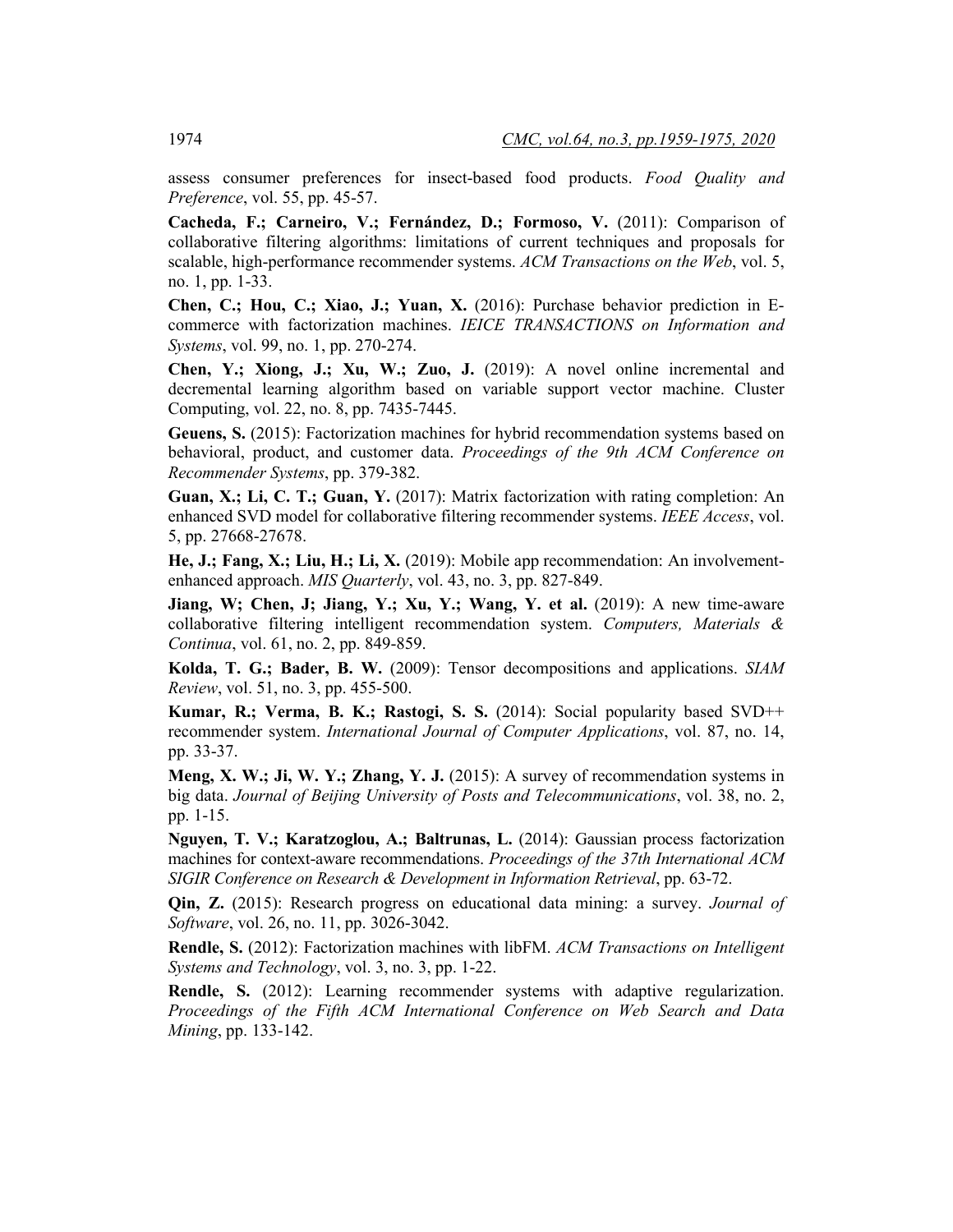assess consumer preferences for insect-based food products. *Food Quality and Preference*, vol. 55, pp. 45-57.

**Cacheda, F.; Carneiro, V.; Fernández, D.; Formoso, V.** (2011): Comparison of collaborative filtering algorithms: limitations of current techniques and proposals for scalable, high-performance recommender systems. *ACM Transactions on the Web*, vol. 5, no. 1, pp. 1-33.

**Chen, C.; Hou, C.; Xiao, J.; Yuan, X.** (2016): Purchase behavior prediction in Ecommerce with factorization machines. *IEICE TRANSACTIONS on Information and Systems*, vol. 99, no. 1, pp. 270-274.

**Chen, Y.; Xiong, J.; Xu, W.; Zuo, J.** (2019): A novel online incremental and decremental learning algorithm based on variable support vector machine. Cluster Computing, vol. 22, no. 8, pp. 7435-7445.

**Geuens, S.** (2015): Factorization machines for hybrid recommendation systems based on behavioral, product, and customer data. *Proceedings of the 9th ACM Conference on Recommender Systems*, pp. 379-382.

**Guan, X.; Li, C. T.; Guan, Y.** (2017): Matrix factorization with rating completion: An enhanced SVD model for collaborative filtering recommender systems. *IEEE Access*, vol. 5, pp. 27668-27678.

**He, J.; Fang, X.; Liu, H.; Li, X.** (2019): Mobile app recommendation: An involvementenhanced approach. *MIS Quarterly*, vol. 43, no. 3, pp. 827-849.

**Jiang, W; Chen, J; Jiang, Y.; Xu, Y.; Wang, Y. et al.** (2019): A new time-aware collaborative filtering intelligent recommendation system. *Computers, Materials & Continua*, vol. 61, no. 2, pp. 849-859.

**Kolda, T. G.; Bader, B. W.** (2009): Tensor decompositions and applications. *SIAM Review*, vol. 51, no. 3, pp. 455-500.

**Kumar, R.; Verma, B. K.; Rastogi, S. S.** (2014): Social popularity based SVD++ recommender system. *International Journal of Computer Applications*, vol. 87, no. 14, pp. 33-37.

**Meng, X. W.; Ji, W. Y.; Zhang, Y. J.** (2015): A survey of recommendation systems in big data. *Journal of Beijing University of Posts and Telecommunications*, vol. 38, no. 2, pp. 1-15.

**Nguyen, T. V.; Karatzoglou, A.; Baltrunas, L.** (2014): Gaussian process factorization machines for context-aware recommendations. *Proceedings of the 37th International ACM SIGIR Conference on Research & Development in Information Retrieval*, pp. 63-72.

**Qin, Z.** (2015): Research progress on educational data mining: a survey. *Journal of Software*, vol. 26, no. 11, pp. 3026-3042.

**Rendle, S.** (2012): Factorization machines with libFM. *ACM Transactions on Intelligent Systems and Technology*, vol. 3, no. 3, pp. 1-22.

**Rendle, S.** (2012): Learning recommender systems with adaptive regularization. *Proceedings of the Fifth ACM International Conference on Web Search and Data Mining*, pp. 133-142.